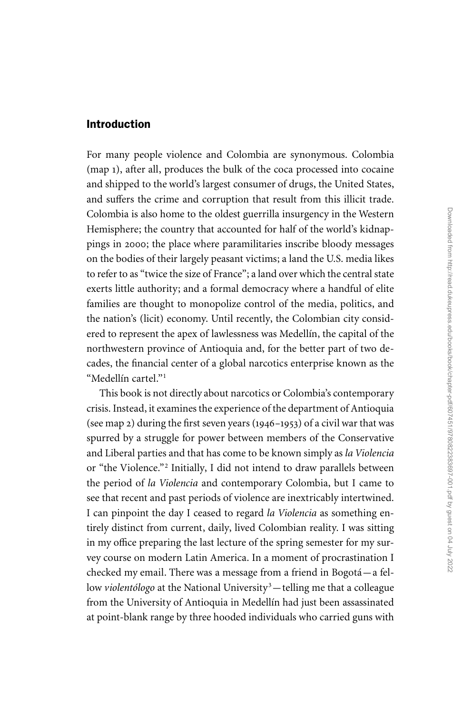For many people violence and Colombia are synonymous. Colombia (map 1), after all, produces the bulk of the coca processed into cocaine and shipped to the world's largest consumer of drugs, the United States, and suffers the crime and corruption that result from this illicit trade. Colombia is also home to the oldest guerrilla insurgency in the Western Hemisphere; the country that accounted for half of the world's kidnappings in 2000; the place where paramilitaries inscribe bloody messages on the bodies of their largely peasant victims; a land the U.S. media likes to refer to as ''twice the size of France''; a land over which the central state exerts little authority; and a formal democracy where a handful of elite families are thought to monopolize control of the media, politics, and the nation's (licit) economy. Until recently, the Colombian city considered to represent the apex of lawlessness was Medellín, the capital of the northwestern province of Antioquia and, for the better part of two decades, the financial center of a global narcotics enterprise known as the ''Medellín cartel.''<sup>1</sup>

This book is not directly about narcotics or Colombia's contemporary crisis. Instead, it examines the experience of the department of Antioquia (see map 2) during the first seven years  $(1946 - 1953)$  of a civil war that was spurred by a struggle for power between members of the Conservative and Liberal parties and that has come to be known simply as la Violencia or "the Violence."<sup>2</sup> Initially, I did not intend to draw parallels between the period of la Violencia and contemporary Colombia, but I came to see that recent and past periods of violence are inextricably intertwined. I can pinpoint the day I ceased to regard la Violencia as something entirely distinct from current, daily, lived Colombian reality. I was sitting in my office preparing the last lecture of the spring semester for my survey course on modern Latin America. In a moment of procrastination I checked my email. There was a message from a friend in Bogotá—a fellow violentólogo at the National University<sup>3</sup> - telling me that a colleague from the University of Antioquia in Medellín had just been assassinated at point-blank range by three hooded individuals who carried guns with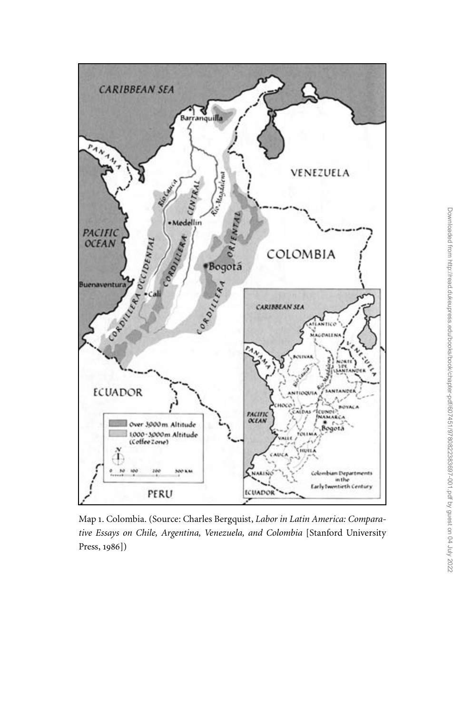

Map 1. Colombia. (Source: Charles Bergquist, Labor in Latin America: Comparative Essays on Chile, Argentina, Venezuela, and Colombia [Stanford University Press, 1986])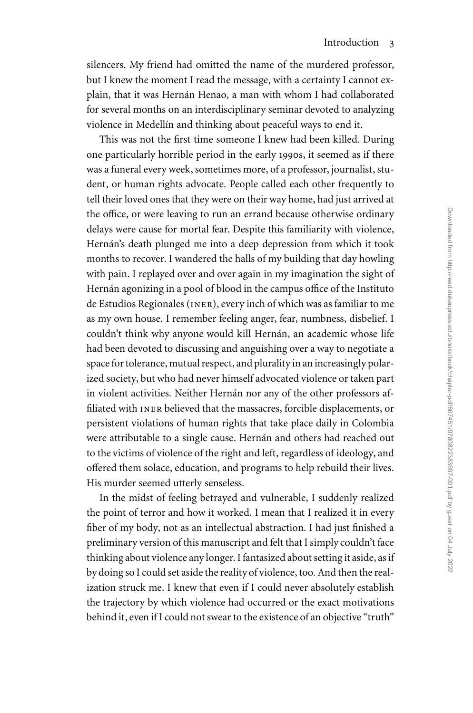silencers. My friend had omitted the name of the murdered professor, but I knew the moment I read the message, with a certainty I cannot explain, that it was Hernán Henao, a man with whom I had collaborated for several months on an interdisciplinary seminar devoted to analyzing violence in Medellín and thinking about peaceful ways to end it.

This was not the first time someone I knew had been killed. During one particularly horrible period in the early 1990s, it seemed as if there was a funeral every week, sometimes more, of a professor, journalist, student, or human rights advocate. People called each other frequently to tell their loved ones that they were on their way home, had just arrived at the office, or were leaving to run an errand because otherwise ordinary delays were cause for mortal fear. Despite this familiarity with violence, Hernán's death plunged me into a deep depression from which it took months to recover. I wandered the halls of my building that day howling with pain. I replayed over and over again in my imagination the sight of Hernán agonizing in a pool of blood in the campus office of the Instituto de Estudios Regionales (INER), every inch of which was as familiar to me as my own house. I remember feeling anger, fear, numbness, disbelief. I couldn't think why anyone would kill Hernán, an academic whose life had been devoted to discussing and anguishing over a way to negotiate a space for tolerance, mutual respect, and plurality in an increasingly polarized society, but who had never himself advocated violence or taken part in violent activities. Neither Hernán nor any of the other professors affiliated with INER believed that the massacres, forcible displacements, or persistent violations of human rights that take place daily in Colombia were attributable to a single cause. Hernán and others had reached out to the victims of violence of the right and left, regardless of ideology, and offered them solace, education, and programs to help rebuild their lives. His murder seemed utterly senseless.

In the midst of feeling betrayed and vulnerable, I suddenly realized the point of terror and how it worked. I mean that I realized it in every fiber of my body, not as an intellectual abstraction. I had just finished a preliminary version of this manuscript and felt that I simply couldn't face thinking about violence any longer. I fantasized about setting it aside, as if by doing so I could set aside the reality of violence, too. And then the realization struck me. I knew that even if I could never absolutely establish the trajectory by which violence had occurred or the exact motivations behind it, even if I could not swear to the existence of an objective "truth"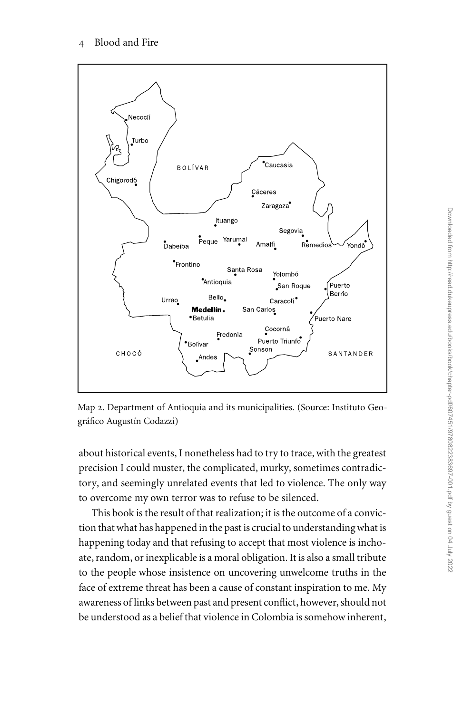

Map 2. Department of Antioquia and its municipalities. (Source: Instituto Geográfico Augustín Codazzi)

about historical events, I nonetheless had to try to trace, with the greatest precision I could muster, the complicated, murky, sometimes contradictory, and seemingly unrelated events that led to violence. The only way to overcome my own terror was to refuse to be silenced.

This book is the result of that realization; it is the outcome of a conviction that what has happened in the past is crucial to understanding what is happening today and that refusing to accept that most violence is inchoate, random, or inexplicable is a moral obligation. It is also a small tribute to the people whose insistence on uncovering unwelcome truths in the face of extreme threat has been a cause of constant inspiration to me. My awareness of links between past and present conflict, however, should not be understood as a belief that violence in Colombia is somehow inherent,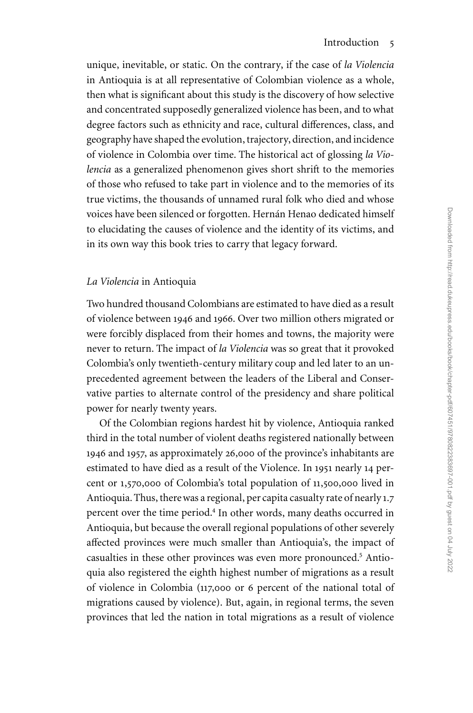unique, inevitable, or static. On the contrary, if the case of la Violencia in Antioquia is at all representative of Colombian violence as a whole, then what is significant about this study is the discovery of how selective and concentrated supposedly generalized violence has been, and to what degree factors such as ethnicity and race, cultural differences, class, and geography have shaped the evolution, trajectory, direction, and incidence of violence in Colombia over time. The historical act of glossing la Violencia as a generalized phenomenon gives short shrift to the memories of those who refused to take part in violence and to the memories of its true victims, the thousands of unnamed rural folk who died and whose voices have been silenced or forgotten. Hernán Henao dedicated himself to elucidating the causes of violence and the identity of its victims, and in its own way this book tries to carry that legacy forward.

## La Violencia in Antioquia

Two hundred thousand Colombians are estimated to have died as a result of violence between 1946 and 1966. Over two million others migrated or were forcibly displaced from their homes and towns, the majority were never to return. The impact of la Violencia was so great that it provoked Colombia's only twentieth-century military coup and led later to an unprecedented agreement between the leaders of the Liberal and Conservative parties to alternate control of the presidency and share political power for nearly twenty years.

Of the Colombian regions hardest hit by violence, Antioquia ranked third in the total number of violent deaths registered nationally between 1946 and 1957, as approximately 26,000 of the province's inhabitants are estimated to have died as a result of the Violence. In 1951 nearly 14 percent or 1,570,000 of Colombia's total population of 11,500,000 lived in Antioquia. Thus, there was a regional, per capita casualty rate of nearly 1.7 percent over the time period.<sup>4</sup> In other words, many deaths occurred in Antioquia, but because the overall regional populations of other severely affected provinces were much smaller than Antioquia's, the impact of casualties in these other provinces was even more pronounced.<sup>5</sup> Antioquia also registered the eighth highest number of migrations as a result of violence in Colombia (117,000 or 6 percent of the national total of migrations caused by violence). But, again, in regional terms, the seven provinces that led the nation in total migrations as a result of violence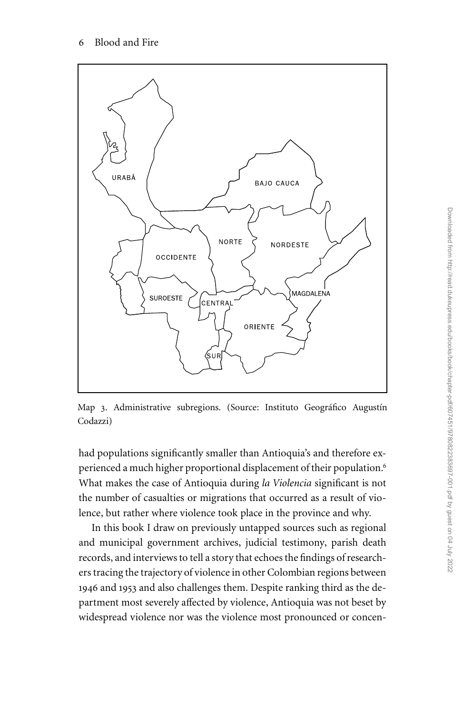

Map 3. Administrative subregions. (Source: Instituto Geográfico Augustín Codazzi)

had populations significantly smaller than Antioquia's and therefore experienced a much higher proportional displacement of their population.<sup>6</sup> What makes the case of Antioquia during la Violencia significant is not the number of casualties or migrations that occurred as a result of violence, but rather where violence took place in the province and why.

In this book I draw on previously untapped sources such as regional and municipal government archives, judicial testimony, parish death records, and interviews to tell a story that echoes the findings of researchers tracing the trajectory of violence in other Colombian regions between 1946 and 1953 and also challenges them. Despite ranking third as the department most severely affected by violence, Antioquia was not beset by widespread violence nor was the violence most pronounced or concen-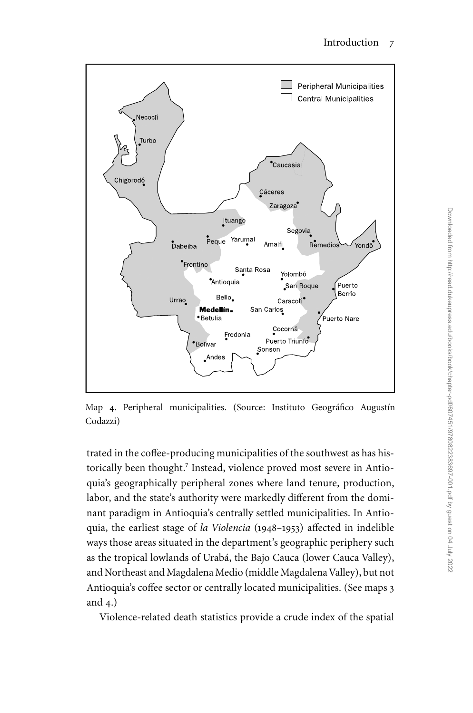

Map 4. Peripheral municipalities. (Source: Instituto Geográfico Augustín Codazzi)

trated in the coffee-producing municipalities of the southwest as has historically been thought.<sup>7</sup> Instead, violence proved most severe in Antioquia's geographically peripheral zones where land tenure, production, labor, and the state's authority were markedly different from the dominant paradigm in Antioquia's centrally settled municipalities. In Antioquia, the earliest stage of la Violencia (1948-1953) affected in indelible ways those areas situated in the department's geographic periphery such as the tropical lowlands of Urabá, the Bajo Cauca (lower Cauca Valley), and Northeast and Magdalena Medio (middle Magdalena Valley), but not Antioquia's coffee sector or centrally located municipalities. (See maps 3 and  $4.$ )

Violence-related death statistics provide a crude index of the spatial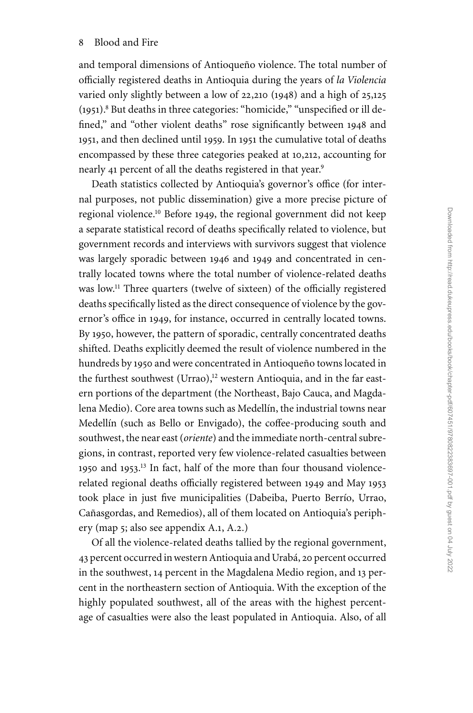and temporal dimensions of Antioqueño violence. The total number of officially registered deaths in Antioquia during the years of la Violencia varied only slightly between a low of  $22,210$  (1948) and a high of  $25,125$ (1951).<sup>8</sup> But deaths in three categories: "homicide," "unspecified or ill defined," and "other violent deaths" rose significantly between 1948 and 1951, and then declined until 1959. In 1951 the cumulative total of deaths encompassed by these three categories peaked at 10,212, accounting for nearly 41 percent of all the deaths registered in that year.<sup>9</sup>

Death statistics collected by Antioquia's governor's office (for internal purposes, not public dissemination) give a more precise picture of regional violence.<sup>10</sup> Before 1949, the regional government did not keep a separate statistical record of deaths specifically related to violence, but government records and interviews with survivors suggest that violence was largely sporadic between 1946 and 1949 and concentrated in centrally located towns where the total number of violence-related deaths was low.<sup>11</sup> Three quarters (twelve of sixteen) of the officially registered deaths specifically listed as the direct consequence of violence by the governor's office in 1949, for instance, occurred in centrally located towns. By 1950, however, the pattern of sporadic, centrally concentrated deaths shifted. Deaths explicitly deemed the result of violence numbered in the hundreds by 1950 and were concentrated in Antioqueño towns located in the furthest southwest (Urrao),<sup>12</sup> western Antioquia, and in the far eastern portions of the department (the Northeast, Bajo Cauca, and Magdalena Medio). Core area towns such as Medellín, the industrial towns near Medellín (such as Bello or Envigado), the coffee-producing south and southwest, the near east (oriente) and the immediate north-central subregions, in contrast, reported very few violence-related casualties between 1950 and 1953.<sup>13</sup> In fact, half of the more than four thousand violencerelated regional deaths officially registered between 1949 and May 1953 took place in just five municipalities (Dabeiba, Puerto Berrío, Urrao, Cañasgordas, and Remedios), all of them located on Antioquia's periphery (map 5; also see appendix A.1, A.2.)

Of all the violence-related deaths tallied by the regional government, 43 percent occurred in western Antioquia and Urabá, 20 percent occurred in the southwest, 14 percent in the Magdalena Medio region, and 13 percent in the northeastern section of Antioquia. With the exception of the highly populated southwest, all of the areas with the highest percentage of casualties were also the least populated in Antioquia. Also, of all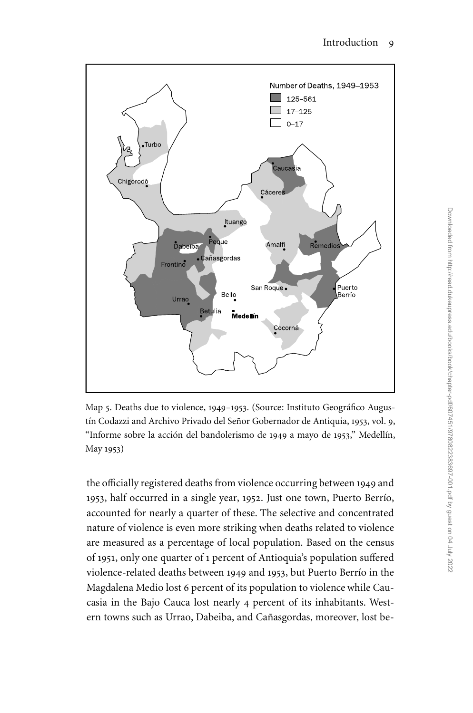

Map 5. Deaths due to violence, 1949-1953. (Source: Instituto Geográfico Augustín Codazzi and Archivo Privado del Señor Gobernador de Antiquia, 1953, vol. 9, "Informe sobre la acción del bandolerismo de 1949 a mayo de 1953," Medellín, May 1953)

the officially registered deaths from violence occurring between 1949 and 1953, half occurred in a single year, 1952. Just one town, Puerto Berrío, accounted for nearly a quarter of these. The selective and concentrated nature of violence is even more striking when deaths related to violence are measured as a percentage of local population. Based on the census of 1951, only one quarter of 1 percent of Antioquia's population suffered violence-related deaths between 1949 and 1953, but Puerto Berrío in the Magdalena Medio lost 6 percent of its population to violence while Caucasia in the Bajo Cauca lost nearly percent of its inhabitants. Western towns such as Urrao, Dabeiba, and Cañasgordas, moreover, lost be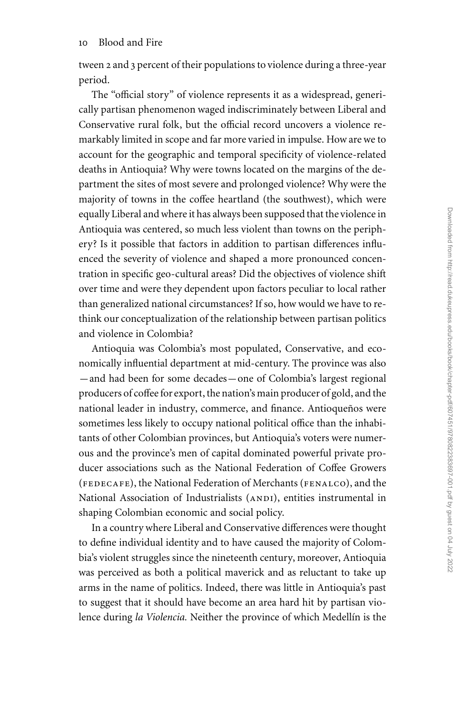tween 2 and 3 percent of their populations to violence during a three-year period.

The "official story" of violence represents it as a widespread, generically partisan phenomenon waged indiscriminately between Liberal and Conservative rural folk, but the official record uncovers a violence remarkably limited in scope and far more varied in impulse. How are we to account for the geographic and temporal specificity of violence-related deaths in Antioquia? Why were towns located on the margins of the department the sites of most severe and prolonged violence? Why were the majority of towns in the coffee heartland (the southwest), which were equally Liberal and where it has always been supposed that the violence in Antioquia was centered, so much less violent than towns on the periphery? Is it possible that factors in addition to partisan differences influenced the severity of violence and shaped a more pronounced concentration in specific geo-cultural areas? Did the objectives of violence shift over time and were they dependent upon factors peculiar to local rather than generalized national circumstances? If so, how would we have to rethink our conceptualization of the relationship between partisan politics and violence in Colombia?

Antioquia was Colombia's most populated, Conservative, and economically influential department at mid-century. The province was also —and had been for some decades—one of Colombia's largest regional producers of coffee for export, the nation's main producer of gold, and the national leader in industry, commerce, and finance. Antioqueños were sometimes less likely to occupy national political office than the inhabitants of other Colombian provinces, but Antioquia's voters were numerous and the province's men of capital dominated powerful private producer associations such as the National Federation of Coffee Growers (FEDECAFE), the National Federation of Merchants (FENALCO), and the National Association of Industrialists (ANDI), entities instrumental in shaping Colombian economic and social policy.

In a country where Liberal and Conservative differences were thought to define individual identity and to have caused the majority of Colombia's violent struggles since the nineteenth century, moreover, Antioquia was perceived as both a political maverick and as reluctant to take up arms in the name of politics. Indeed, there was little in Antioquia's past to suggest that it should have become an area hard hit by partisan violence during la Violencia. Neither the province of which Medellín is the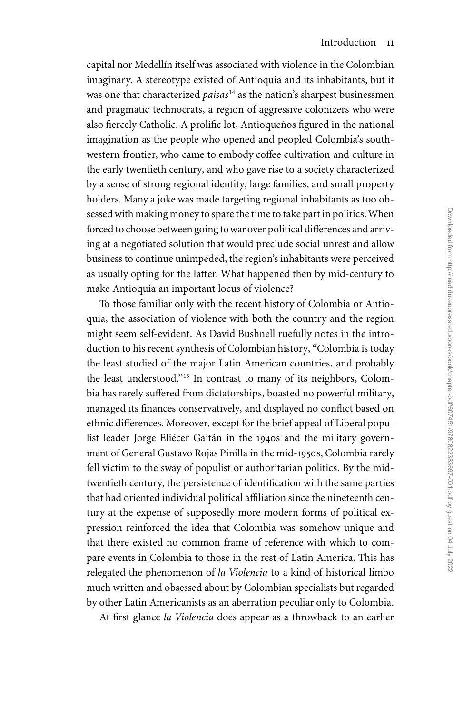capital nor Medellín itself was associated with violence in the Colombian imaginary. A stereotype existed of Antioquia and its inhabitants, but it was one that characterized paisas<sup>14</sup> as the nation's sharpest businessmen and pragmatic technocrats, a region of aggressive colonizers who were also fiercely Catholic. A prolific lot, Antioqueños figured in the national imagination as the people who opened and peopled Colombia's southwestern frontier, who came to embody coffee cultivation and culture in the early twentieth century, and who gave rise to a society characterized by a sense of strong regional identity, large families, and small property holders. Many a joke was made targeting regional inhabitants as too obsessed with making money to spare the time to take part in politics.When forced to choose between going towar over political differences and arriving at a negotiated solution that would preclude social unrest and allow business to continue unimpeded, the region's inhabitants were perceived as usually opting for the latter. What happened then by mid-century to make Antioquia an important locus of violence?

To those familiar only with the recent history of Colombia or Antioquia, the association of violence with both the country and the region might seem self-evident. As David Bushnell ruefully notes in the introduction to his recent synthesis of Colombian history, "Colombia is today the least studied of the major Latin American countries, and probably the least understood."<sup>15</sup> In contrast to many of its neighbors, Colombia has rarely suffered from dictatorships, boasted no powerful military, managed its finances conservatively, and displayed no conflict based on ethnic differences. Moreover, except for the brief appeal of Liberal populist leader Jorge Eliécer Gaitán in the 1940s and the military government of General Gustavo Rojas Pinilla in the mid-1950s, Colombia rarely fell victim to the sway of populist or authoritarian politics. By the midtwentieth century, the persistence of identification with the same parties that had oriented individual political affiliation since the nineteenth century at the expense of supposedly more modern forms of political expression reinforced the idea that Colombia was somehow unique and that there existed no common frame of reference with which to compare events in Colombia to those in the rest of Latin America. This has relegated the phenomenon of la Violencia to a kind of historical limbo much written and obsessed about by Colombian specialists but regarded by other Latin Americanists as an aberration peculiar only to Colombia.

At first glance la Violencia does appear as a throwback to an earlier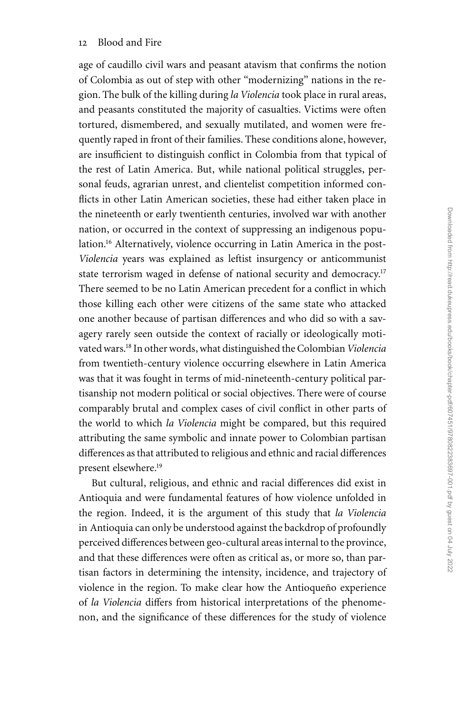age of caudillo civil wars and peasant atavism that confirms the notion of Colombia as out of step with other ''modernizing'' nations in the region. The bulk of the killing during la Violencia took place in rural areas, and peasants constituted the majority of casualties. Victims were often tortured, dismembered, and sexually mutilated, and women were frequently raped in front of their families. These conditions alone, however, are insufficient to distinguish conflict in Colombia from that typical of the rest of Latin America. But, while national political struggles, personal feuds, agrarian unrest, and clientelist competition informed conflicts in other Latin American societies, these had either taken place in the nineteenth or early twentienth centuries, involved war with another nation, or occurred in the context of suppressing an indigenous population.<sup>16</sup> Alternatively, violence occurring in Latin America in the post-Violencia years was explained as leftist insurgency or anticommunist state terrorism waged in defense of national security and democracy.<sup>17</sup> There seemed to be no Latin American precedent for a conflict in which those killing each other were citizens of the same state who attacked one another because of partisan differences and who did so with a savagery rarely seen outside the context of racially or ideologically motivated wars.<sup>18</sup> In other words, what distinguished the Colombian Violencia from twentieth-century violence occurring elsewhere in Latin America was that it was fought in terms of mid-nineteenth-century political partisanship not modern political or social objectives. There were of course comparably brutal and complex cases of civil conflict in other parts of the world to which la Violencia might be compared, but this required attributing the same symbolic and innate power to Colombian partisan differences as that attributed to religious and ethnic and racial differences present elsewhere.<sup>19</sup>

But cultural, religious, and ethnic and racial differences did exist in Antioquia and were fundamental features of how violence unfolded in the region. Indeed, it is the argument of this study that la Violencia in Antioquia can only be understood against the backdrop of profoundly perceived differences between geo-cultural areas internal to the province, and that these differences were often as critical as, or more so, than partisan factors in determining the intensity, incidence, and trajectory of violence in the region. To make clear how the Antioqueño experience of la Violencia differs from historical interpretations of the phenomenon, and the significance of these differences for the study of violence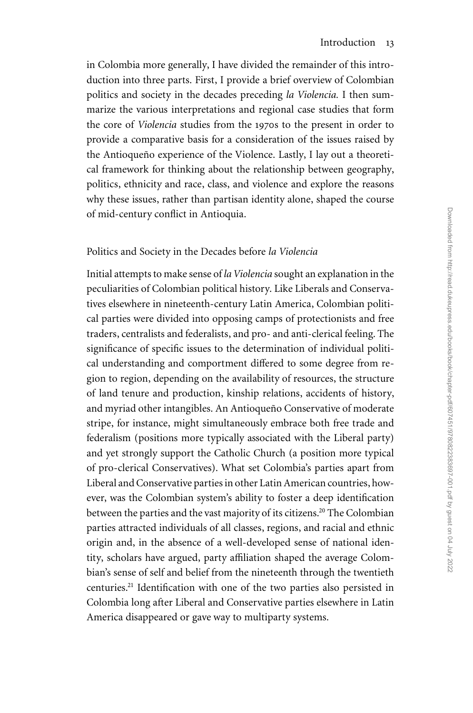in Colombia more generally, I have divided the remainder of this introduction into three parts. First, I provide a brief overview of Colombian politics and society in the decades preceding la Violencia. I then summarize the various interpretations and regional case studies that form the core of Violencia studies from the 1970s to the present in order to provide a comparative basis for a consideration of the issues raised by the Antioqueño experience of the Violence. Lastly, I lay out a theoretical framework for thinking about the relationship between geography, politics, ethnicity and race, class, and violence and explore the reasons why these issues, rather than partisan identity alone, shaped the course of mid-century conflict in Antioquia.

## Politics and Society in the Decades before la Violencia

Initial attempts to make sense of la Violencia sought an explanation in the peculiarities of Colombian political history. Like Liberals and Conservatives elsewhere in nineteenth-century Latin America, Colombian political parties were divided into opposing camps of protectionists and free traders, centralists and federalists, and pro- and anti-clerical feeling. The significance of specific issues to the determination of individual political understanding and comportment differed to some degree from region to region, depending on the availability of resources, the structure of land tenure and production, kinship relations, accidents of history, and myriad other intangibles. An Antioqueño Conservative of moderate stripe, for instance, might simultaneously embrace both free trade and federalism (positions more typically associated with the Liberal party) and yet strongly support the Catholic Church (a position more typical of pro-clerical Conservatives). What set Colombia's parties apart from Liberal and Conservative parties in other Latin American countries, however, was the Colombian system's ability to foster a deep identification between the parties and the vast majority of its citizens.<sup>20</sup> The Colombian parties attracted individuals of all classes, regions, and racial and ethnic origin and, in the absence of a well-developed sense of national identity, scholars have argued, party affiliation shaped the average Colombian's sense of self and belief from the nineteenth through the twentieth centuries.<sup>21</sup> Identification with one of the two parties also persisted in Colombia long after Liberal and Conservative parties elsewhere in Latin America disappeared or gave way to multiparty systems.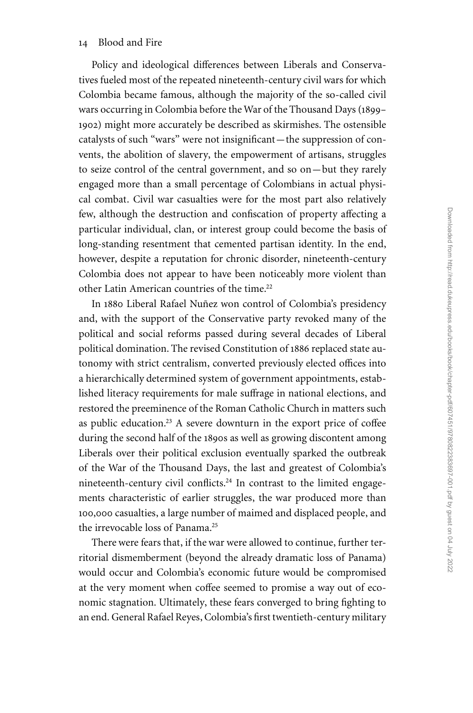Policy and ideological differences between Liberals and Conservatives fueled most of the repeated nineteenth-century civil wars for which Colombia became famous, although the majority of the so-called civil wars occurring in Colombia before the War of the Thousand Days (1899-) might more accurately be described as skirmishes. The ostensible catalysts of such ''wars'' were not insignificant—the suppression of convents, the abolition of slavery, the empowerment of artisans, struggles to seize control of the central government, and so on—but they rarely engaged more than a small percentage of Colombians in actual physical combat. Civil war casualties were for the most part also relatively few, although the destruction and confiscation of property affecting a particular individual, clan, or interest group could become the basis of long-standing resentment that cemented partisan identity. In the end, however, despite a reputation for chronic disorder, nineteenth-century Colombia does not appear to have been noticeably more violent than other Latin American countries of the time.<sup>22</sup>

In 1880 Liberal Rafael Nuñez won control of Colombia's presidency and, with the support of the Conservative party revoked many of the political and social reforms passed during several decades of Liberal political domination. The revised Constitution of 1886 replaced state autonomy with strict centralism, converted previously elected offices into a hierarchically determined system of government appointments, established literacy requirements for male suffrage in national elections, and restored the preeminence of the Roman Catholic Church in matters such as public education.<sup>23</sup> A severe downturn in the export price of coffee during the second half of the 1890s as well as growing discontent among Liberals over their political exclusion eventually sparked the outbreak of the War of the Thousand Days, the last and greatest of Colombia's nineteenth-century civil conflicts.<sup>24</sup> In contrast to the limited engagements characteristic of earlier struggles, the war produced more than 100,000 casualties, a large number of maimed and displaced people, and the irrevocable loss of Panama.<sup>25</sup>

There were fears that, if the war were allowed to continue, further territorial dismemberment (beyond the already dramatic loss of Panama) would occur and Colombia's economic future would be compromised at the very moment when coffee seemed to promise a way out of economic stagnation. Ultimately, these fears converged to bring fighting to an end. General Rafael Reyes, Colombia's first twentieth-century military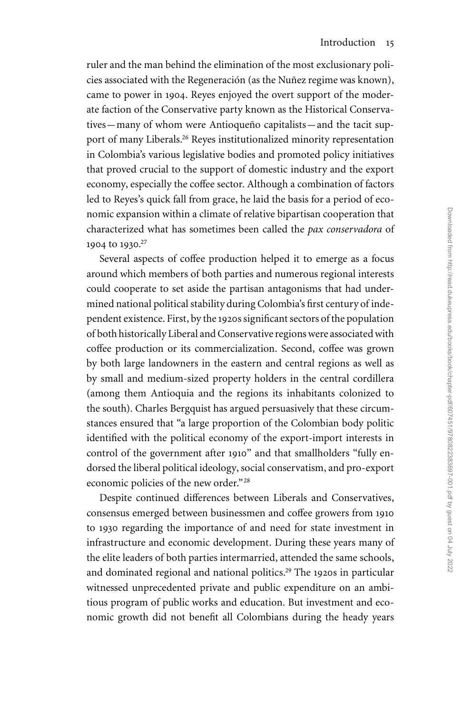ruler and the man behind the elimination of the most exclusionary policies associated with the Regeneración (as the Nuñez regime was known), came to power in 1904. Reyes enjoyed the overt support of the moderate faction of the Conservative party known as the Historical Conservatives—many of whom were Antioqueño capitalists—and the tacit support of many Liberals.<sup>26</sup> Reyes institutionalized minority representation in Colombia's various legislative bodies and promoted policy initiatives that proved crucial to the support of domestic industry and the export economy, especially the coffee sector. Although a combination of factors led to Reyes's quick fall from grace, he laid the basis for a period of economic expansion within a climate of relative bipartisan cooperation that characterized what has sometimes been called the pax conservadora of 1904 to 1930.<sup>27</sup>

Several aspects of coffee production helped it to emerge as a focus around which members of both parties and numerous regional interests could cooperate to set aside the partisan antagonisms that had undermined national political stability during Colombia's first century of independent existence. First, by the 1920s significant sectors of the population of both historically Liberal and Conservative regions were associated with coffee production or its commercialization. Second, coffee was grown by both large landowners in the eastern and central regions as well as by small and medium-sized property holders in the central cordillera (among them Antioquia and the regions its inhabitants colonized to the south). Charles Bergquist has argued persuasively that these circumstances ensured that ''a large proportion of the Colombian body politic identified with the political economy of the export-import interests in control of the government after 1910" and that smallholders "fully endorsed the liberal political ideology, social conservatism, and pro-export economic policies of the new order.''<sup>28</sup>

Despite continued differences between Liberals and Conservatives, consensus emerged between businessmen and coffee growers from to 1930 regarding the importance of and need for state investment in infrastructure and economic development. During these years many of the elite leaders of both parties intermarried, attended the same schools, and dominated regional and national politics.<sup>29</sup> The 1920s in particular witnessed unprecedented private and public expenditure on an ambitious program of public works and education. But investment and economic growth did not benefit all Colombians during the heady years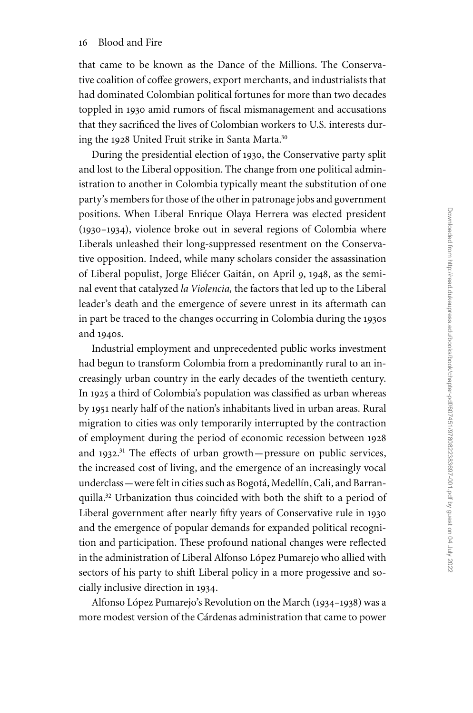that came to be known as the Dance of the Millions. The Conservative coalition of coffee growers, export merchants, and industrialists that had dominated Colombian political fortunes for more than two decades toppled in 1930 amid rumors of fiscal mismanagement and accusations that they sacrificed the lives of Colombian workers to U.S. interests during the 1928 United Fruit strike in Santa Marta.<sup>30</sup>

During the presidential election of 1930, the Conservative party split and lost to the Liberal opposition. The change from one political administration to another in Colombia typically meant the substitution of one party's members for those of the other in patronage jobs and government positions. When Liberal Enrique Olaya Herrera was elected president  $(1930-1934)$ , violence broke out in several regions of Colombia where Liberals unleashed their long-suppressed resentment on the Conservative opposition. Indeed, while many scholars consider the assassination of Liberal populist, Jorge Eliécer Gaitán, on April 9, 1948, as the seminal event that catalyzed la Violencia, the factors that led up to the Liberal leader's death and the emergence of severe unrest in its aftermath can in part be traced to the changes occurring in Colombia during the 1930s and 1940s.

Industrial employment and unprecedented public works investment had begun to transform Colombia from a predominantly rural to an increasingly urban country in the early decades of the twentieth century. In 1925 a third of Colombia's population was classified as urban whereas by 1951 nearly half of the nation's inhabitants lived in urban areas. Rural migration to cities was only temporarily interrupted by the contraction of employment during the period of economic recession between and  $1932$ .<sup>31</sup> The effects of urban growth—pressure on public services, the increased cost of living, and the emergence of an increasingly vocal underclass—were felt in cities such as Bogotá, Medellín, Cali, and Barranquilla.<sup>32</sup> Urbanization thus coincided with both the shift to a period of Liberal government after nearly fifty years of Conservative rule in 1930 and the emergence of popular demands for expanded political recognition and participation. These profound national changes were reflected in the administration of Liberal Alfonso López Pumarejo who allied with sectors of his party to shift Liberal policy in a more progessive and socially inclusive direction in 1934.

Alfonso López Pumarejo's Revolution on the March (1934-1938) was a more modest version of the Cárdenas administration that came to power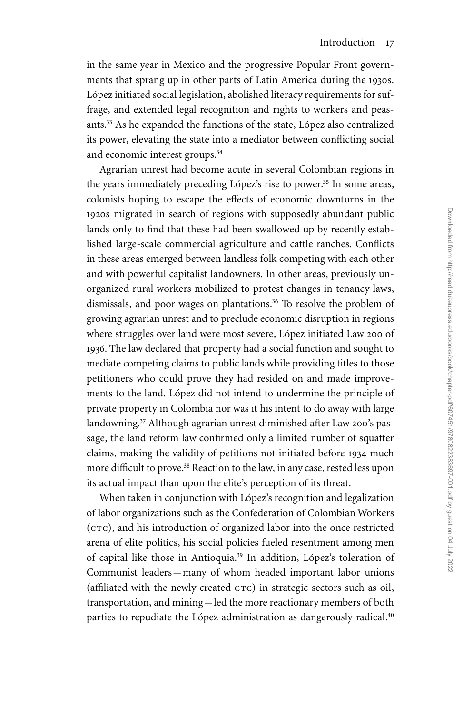in the same year in Mexico and the progressive Popular Front governments that sprang up in other parts of Latin America during the 1930s. López initiated social legislation, abolished literacy requirements for suffrage, and extended legal recognition and rights to workers and peasants.<sup>33</sup> As he expanded the functions of the state, López also centralized its power, elevating the state into a mediator between conflicting social and economic interest groups.<sup>34</sup>

Agrarian unrest had become acute in several Colombian regions in the years immediately preceding López's rise to power.<sup>35</sup> In some areas, colonists hoping to escape the effects of economic downturns in the 1920s migrated in search of regions with supposedly abundant public lands only to find that these had been swallowed up by recently established large-scale commercial agriculture and cattle ranches. Conflicts in these areas emerged between landless folk competing with each other and with powerful capitalist landowners. In other areas, previously unorganized rural workers mobilized to protest changes in tenancy laws, dismissals, and poor wages on plantations.<sup>36</sup> To resolve the problem of growing agrarian unrest and to preclude economic disruption in regions where struggles over land were most severe, López initiated Law 200 of 1936. The law declared that property had a social function and sought to mediate competing claims to public lands while providing titles to those petitioners who could prove they had resided on and made improvements to the land. López did not intend to undermine the principle of private property in Colombia nor was it his intent to do away with large landowning.<sup>37</sup> Although agrarian unrest diminished after Law 200's passage, the land reform law confirmed only a limited number of squatter claims, making the validity of petitions not initiated before 1934 much more difficult to prove.<sup>38</sup> Reaction to the law, in any case, rested less upon its actual impact than upon the elite's perception of its threat.

When taken in conjunction with López's recognition and legalization of labor organizations such as the Confederation of Colombian Workers (CTC), and his introduction of organized labor into the once restricted arena of elite politics, his social policies fueled resentment among men of capital like those in Antioquia.<sup>39</sup> In addition, López's toleration of Communist leaders—many of whom headed important labor unions (affiliated with the newly created CTC) in strategic sectors such as oil, transportation, and mining—led the more reactionary members of both parties to repudiate the López administration as dangerously radical.<sup>40</sup>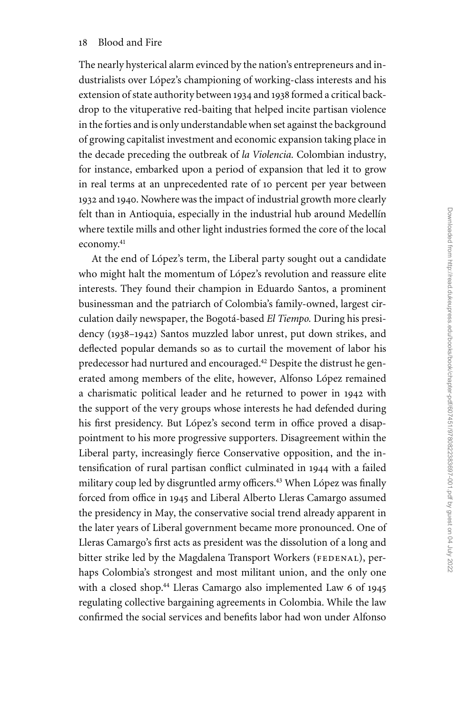The nearly hysterical alarm evinced by the nation's entrepreneurs and industrialists over López's championing of working-class interests and his extension of state authority between 1934 and 1938 formed a critical backdrop to the vituperative red-baiting that helped incite partisan violence in the forties and is only understandable when set against the background of growing capitalist investment and economic expansion taking place in the decade preceding the outbreak of la Violencia. Colombian industry, for instance, embarked upon a period of expansion that led it to grow in real terms at an unprecedented rate of 10 percent per year between 1932 and 1940. Nowhere was the impact of industrial growth more clearly felt than in Antioquia, especially in the industrial hub around Medellín where textile mills and other light industries formed the core of the local economy.<sup>41</sup>

At the end of López's term, the Liberal party sought out a candidate who might halt the momentum of López's revolution and reassure elite interests. They found their champion in Eduardo Santos, a prominent businessman and the patriarch of Colombia's family-owned, largest circulation daily newspaper, the Bogotá-based El Tiempo. During his presidency (1938-1942) Santos muzzled labor unrest, put down strikes, and deflected popular demands so as to curtail the movement of labor his predecessor had nurtured and encouraged.<sup>42</sup> Despite the distrust he generated among members of the elite, however, Alfonso López remained a charismatic political leader and he returned to power in 1942 with the support of the very groups whose interests he had defended during his first presidency. But López's second term in office proved a disappointment to his more progressive supporters. Disagreement within the Liberal party, increasingly fierce Conservative opposition, and the intensification of rural partisan conflict culminated in 1944 with a failed military coup led by disgruntled army officers.<sup>43</sup> When López was finally forced from office in 1945 and Liberal Alberto Lleras Camargo assumed the presidency in May, the conservative social trend already apparent in the later years of Liberal government became more pronounced. One of Lleras Camargo's first acts as president was the dissolution of a long and bitter strike led by the Magdalena Transport Workers (FEDENAL), perhaps Colombia's strongest and most militant union, and the only one with a closed shop.<sup>44</sup> Lleras Camargo also implemented Law 6 of 1945 regulating collective bargaining agreements in Colombia. While the law confirmed the social services and benefits labor had won under Alfonso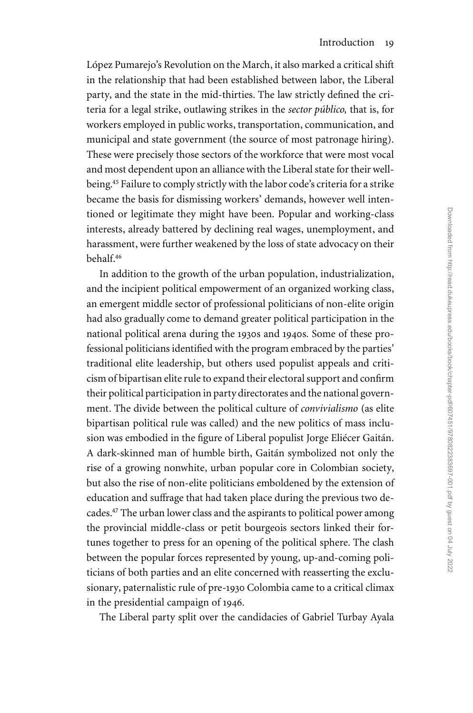López Pumarejo's Revolution on the March, it also marked a critical shift in the relationship that had been established between labor, the Liberal party, and the state in the mid-thirties. The law strictly defined the criteria for a legal strike, outlawing strikes in the sector público, that is, for workers employed in public works, transportation, communication, and municipal and state government (the source of most patronage hiring). These were precisely those sectors of the workforce that were most vocal and most dependent upon an alliance with the Liberal state for their wellbeing.<sup>45</sup> Failure to comply strictly with the labor code's criteria for a strike became the basis for dismissing workers' demands, however well intentioned or legitimate they might have been. Popular and working-class interests, already battered by declining real wages, unemployment, and harassment, were further weakened by the loss of state advocacy on their behalf.<sup>46</sup>

In addition to the growth of the urban population, industrialization, and the incipient political empowerment of an organized working class, an emergent middle sector of professional politicians of non-elite origin had also gradually come to demand greater political participation in the national political arena during the 1930s and 1940s. Some of these professional politicians identified with the program embraced by the parties' traditional elite leadership, but others used populist appeals and criticism of bipartisan elite rule to expand their electoral support and confirm their political participation in party directorates and the national government. The divide between the political culture of convivialismo (as elite bipartisan political rule was called) and the new politics of mass inclusion was embodied in the figure of Liberal populist Jorge Eliécer Gaitán. A dark-skinned man of humble birth, Gaitán symbolized not only the rise of a growing nonwhite, urban popular core in Colombian society, but also the rise of non-elite politicians emboldened by the extension of education and suffrage that had taken place during the previous two decades.<sup>47</sup> The urban lower class and the aspirants to political power among the provincial middle-class or petit bourgeois sectors linked their fortunes together to press for an opening of the political sphere. The clash between the popular forces represented by young, up-and-coming politicians of both parties and an elite concerned with reasserting the exclusionary, paternalistic rule of pre-1930 Colombia came to a critical climax in the presidential campaign of 1946.

The Liberal party split over the candidacies of Gabriel Turbay Ayala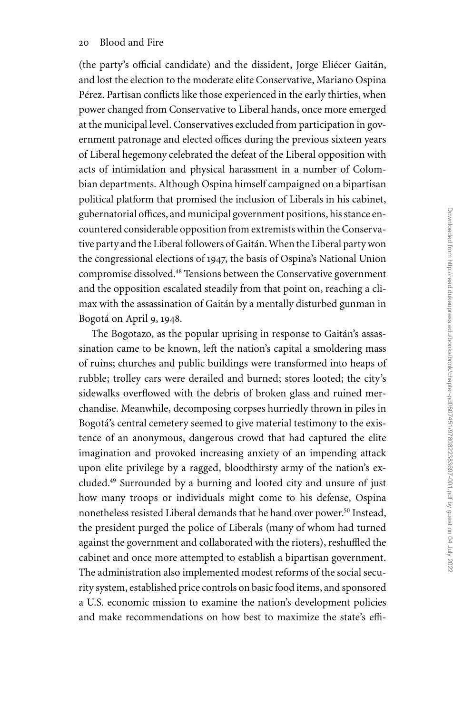(the party's official candidate) and the dissident, Jorge Eliécer Gaitán, and lost the election to the moderate elite Conservative, Mariano Ospina Pérez. Partisan conflicts like those experienced in the early thirties, when power changed from Conservative to Liberal hands, once more emerged at the municipal level. Conservatives excluded from participation in government patronage and elected offices during the previous sixteen years of Liberal hegemony celebrated the defeat of the Liberal opposition with acts of intimidation and physical harassment in a number of Colombian departments. Although Ospina himself campaigned on a bipartisan political platform that promised the inclusion of Liberals in his cabinet, gubernatorial offices, and municipal government positions, his stance encountered considerable opposition from extremists within the Conservative party and the Liberal followers of Gaitán. When the Liberal party won the congressional elections of 1947, the basis of Ospina's National Union compromise dissolved.<sup>48</sup> Tensions between the Conservative government and the opposition escalated steadily from that point on, reaching a climax with the assassination of Gaitán by a mentally disturbed gunman in Bogotá on April 9, 1948.

The Bogotazo, as the popular uprising in response to Gaitán's assassination came to be known, left the nation's capital a smoldering mass of ruins; churches and public buildings were transformed into heaps of rubble; trolley cars were derailed and burned; stores looted; the city's sidewalks overflowed with the debris of broken glass and ruined merchandise. Meanwhile, decomposing corpses hurriedly thrown in piles in Bogotá's central cemetery seemed to give material testimony to the existence of an anonymous, dangerous crowd that had captured the elite imagination and provoked increasing anxiety of an impending attack upon elite privilege by a ragged, bloodthirsty army of the nation's excluded.<sup>49</sup> Surrounded by a burning and looted city and unsure of just how many troops or individuals might come to his defense, Ospina nonetheless resisted Liberal demands that he hand over power.<sup>50</sup> Instead, the president purged the police of Liberals (many of whom had turned against the government and collaborated with the rioters), reshuffled the cabinet and once more attempted to establish a bipartisan government. The administration also implemented modest reforms of the social security system, established price controls on basic food items, and sponsored a U.S. economic mission to examine the nation's development policies and make recommendations on how best to maximize the state's effi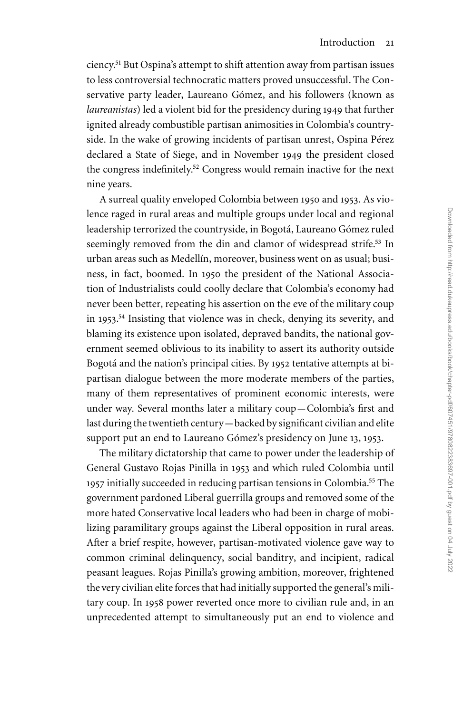ciency.<sup>51</sup> But Ospina's attempt to shift attention away from partisan issues to less controversial technocratic matters proved unsuccessful. The Conservative party leader, Laureano Gómez, and his followers (known as laureanistas) led a violent bid for the presidency during 1949 that further ignited already combustible partisan animosities in Colombia's countryside. In the wake of growing incidents of partisan unrest, Ospina Pérez declared a State of Siege, and in November 1949 the president closed the congress indefinitely.<sup>52</sup> Congress would remain inactive for the next nine years.

A surreal quality enveloped Colombia between 1950 and 1953. As violence raged in rural areas and multiple groups under local and regional leadership terrorized the countryside, in Bogotá, Laureano Gómez ruled seemingly removed from the din and clamor of widespread strife.<sup>53</sup> In urban areas such as Medellín, moreover, business went on as usual; business, in fact, boomed. In 1950 the president of the National Association of Industrialists could coolly declare that Colombia's economy had never been better, repeating his assertion on the eve of the military coup in 1953.<sup>54</sup> Insisting that violence was in check, denying its severity, and blaming its existence upon isolated, depraved bandits, the national government seemed oblivious to its inability to assert its authority outside Bogotá and the nation's principal cities. By 1952 tentative attempts at bipartisan dialogue between the more moderate members of the parties, many of them representatives of prominent economic interests, were under way. Several months later a military coup—Colombia's first and last during the twentieth century—backed by significant civilian and elite support put an end to Laureano Gómez's presidency on June 13, 1953.

The military dictatorship that came to power under the leadership of General Gustavo Rojas Pinilla in 1953 and which ruled Colombia until 1957 initially succeeded in reducing partisan tensions in Colombia.<sup>55</sup> The government pardoned Liberal guerrilla groups and removed some of the more hated Conservative local leaders who had been in charge of mobilizing paramilitary groups against the Liberal opposition in rural areas. After a brief respite, however, partisan-motivated violence gave way to common criminal delinquency, social banditry, and incipient, radical peasant leagues. Rojas Pinilla's growing ambition, moreover, frightened the very civilian elite forces that had initially supported the general's military coup. In 1958 power reverted once more to civilian rule and, in an unprecedented attempt to simultaneously put an end to violence and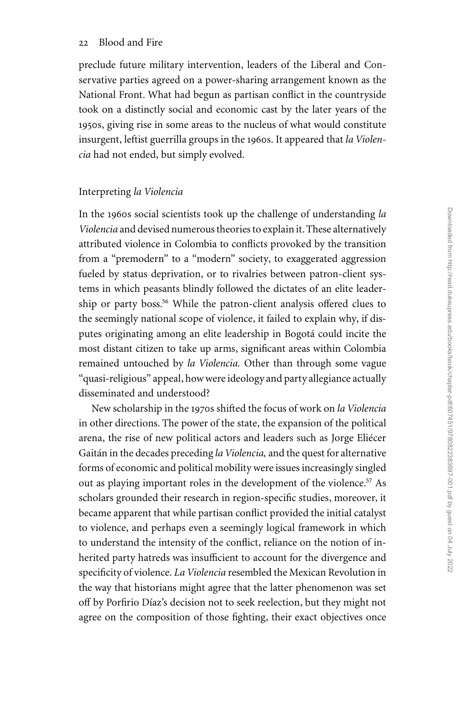preclude future military intervention, leaders of the Liberal and Conservative parties agreed on a power-sharing arrangement known as the National Front. What had begun as partisan conflict in the countryside took on a distinctly social and economic cast by the later years of the 1950s, giving rise in some areas to the nucleus of what would constitute insurgent, leftist guerrilla groups in the 1960s. It appeared that la Violencia had not ended, but simply evolved.

## Interpreting la Violencia

In the 1960s social scientists took up the challenge of understanding la Violencia and devised numerous theories to explain it. These alternatively attributed violence in Colombia to conflicts provoked by the transition from a ''premodern'' to a ''modern'' society, to exaggerated aggression fueled by status deprivation, or to rivalries between patron-client systems in which peasants blindly followed the dictates of an elite leadership or party boss.<sup>56</sup> While the patron-client analysis offered clues to the seemingly national scope of violence, it failed to explain why, if disputes originating among an elite leadership in Bogotá could incite the most distant citizen to take up arms, significant areas within Colombia remained untouched by la Violencia. Other than through some vague ''quasi-religious'' appeal, how were ideology and party allegiance actually disseminated and understood?

New scholarship in the 1970s shifted the focus of work on la Violencia in other directions. The power of the state, the expansion of the political arena, the rise of new political actors and leaders such as Jorge Eliécer Gaitán in the decades preceding la Violencia, and the quest for alternative forms of economic and political mobility were issues increasingly singled out as playing important roles in the development of the violence.<sup>57</sup> As scholars grounded their research in region-specific studies, moreover, it became apparent that while partisan conflict provided the initial catalyst to violence, and perhaps even a seemingly logical framework in which to understand the intensity of the conflict, reliance on the notion of inherited party hatreds was insufficient to account for the divergence and specificity of violence. La Violencia resembled the Mexican Revolution in the way that historians might agree that the latter phenomenon was set off by Porfirio Díaz's decision not to seek reelection, but they might not agree on the composition of those fighting, their exact objectives once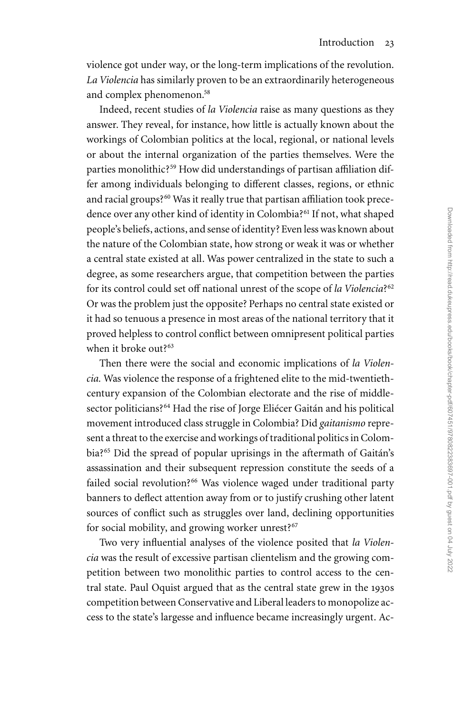violence got under way, or the long-term implications of the revolution. La Violencia has similarly proven to be an extraordinarily heterogeneous and complex phenomenon.<sup>58</sup>

Indeed, recent studies of la Violencia raise as many questions as they answer. They reveal, for instance, how little is actually known about the workings of Colombian politics at the local, regional, or national levels or about the internal organization of the parties themselves. Were the parties monolithic?<sup>59</sup> How did understandings of partisan affiliation differ among individuals belonging to different classes, regions, or ethnic and racial groups?<sup>60</sup> Was it really true that partisan affiliation took precedence over any other kind of identity in Colombia?<sup>61</sup> If not, what shaped people's beliefs, actions, and sense of identity? Even less was known about the nature of the Colombian state, how strong or weak it was or whether a central state existed at all. Was power centralized in the state to such a degree, as some researchers argue, that competition between the parties for its control could set off national unrest of the scope of la Violencia?<sup>62</sup> Or was the problem just the opposite? Perhaps no central state existed or it had so tenuous a presence in most areas of the national territory that it proved helpless to control conflict between omnipresent political parties when it broke out?<sup>63</sup>

Then there were the social and economic implications of la Violencia. Was violence the response of a frightened elite to the mid-twentiethcentury expansion of the Colombian electorate and the rise of middlesector politicians?<sup>64</sup> Had the rise of Jorge Eliécer Gaitán and his political movement introduced class struggle in Colombia? Did gaitanismo represent a threat to the exercise and workings of traditional politics in Colombia?<sup>65</sup> Did the spread of popular uprisings in the aftermath of Gaitán's assassination and their subsequent repression constitute the seeds of a failed social revolution?<sup>66</sup> Was violence waged under traditional party banners to deflect attention away from or to justify crushing other latent sources of conflict such as struggles over land, declining opportunities for social mobility, and growing worker unrest?<sup>67</sup>

Two very influential analyses of the violence posited that la Violencia was the result of excessive partisan clientelism and the growing competition between two monolithic parties to control access to the central state. Paul Oquist argued that as the central state grew in the 1930s competition between Conservative and Liberal leaders to monopolize access to the state's largesse and influence became increasingly urgent. Ac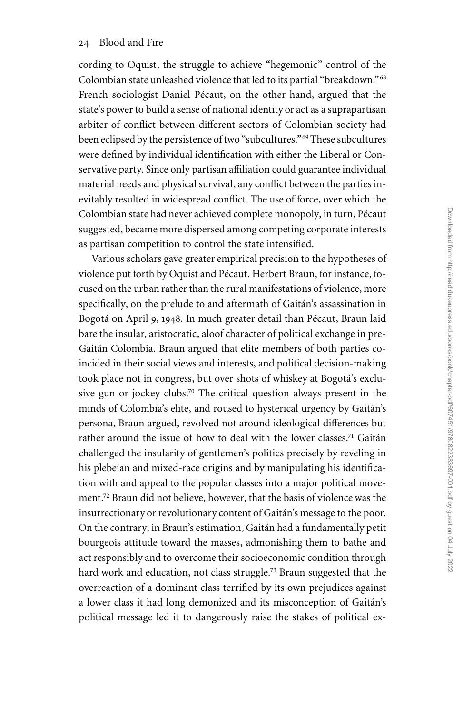cording to Oquist, the struggle to achieve ''hegemonic'' control of the Colombian state unleashed violence that led to its partial ''breakdown.''<sup>68</sup> French sociologist Daniel Pécaut, on the other hand, argued that the state's power to build a sense of national identity or act as a suprapartisan arbiter of conflict between different sectors of Colombian society had been eclipsed by the persistence of two "subcultures."<sup>69</sup> These subcultures were defined by individual identification with either the Liberal or Conservative party. Since only partisan affiliation could guarantee individual material needs and physical survival, any conflict between the parties inevitably resulted in widespread conflict. The use of force, over which the Colombian state had never achieved complete monopoly, in turn, Pécaut suggested, became more dispersed among competing corporate interests as partisan competition to control the state intensified.

Various scholars gave greater empirical precision to the hypotheses of violence put forth by Oquist and Pécaut. Herbert Braun, for instance, focused on the urban rather than the rural manifestations of violence, more specifically, on the prelude to and aftermath of Gaitán's assassination in Bogotá on April 9, 1948. In much greater detail than Pécaut, Braun laid bare the insular, aristocratic, aloof character of political exchange in pre-Gaitán Colombia. Braun argued that elite members of both parties coincided in their social views and interests, and political decision-making took place not in congress, but over shots of whiskey at Bogotá's exclusive gun or jockey clubs.<sup>70</sup> The critical question always present in the minds of Colombia's elite, and roused to hysterical urgency by Gaitán's persona, Braun argued, revolved not around ideological differences but rather around the issue of how to deal with the lower classes.<sup>71</sup> Gaitán challenged the insularity of gentlemen's politics precisely by reveling in his plebeian and mixed-race origins and by manipulating his identification with and appeal to the popular classes into a major political movement.<sup>72</sup> Braun did not believe, however, that the basis of violence was the insurrectionary or revolutionary content of Gaitán's message to the poor. On the contrary, in Braun's estimation, Gaitán had a fundamentally petit bourgeois attitude toward the masses, admonishing them to bathe and act responsibly and to overcome their socioeconomic condition through hard work and education, not class struggle.<sup>73</sup> Braun suggested that the overreaction of a dominant class terrified by its own prejudices against a lower class it had long demonized and its misconception of Gaitán's political message led it to dangerously raise the stakes of political ex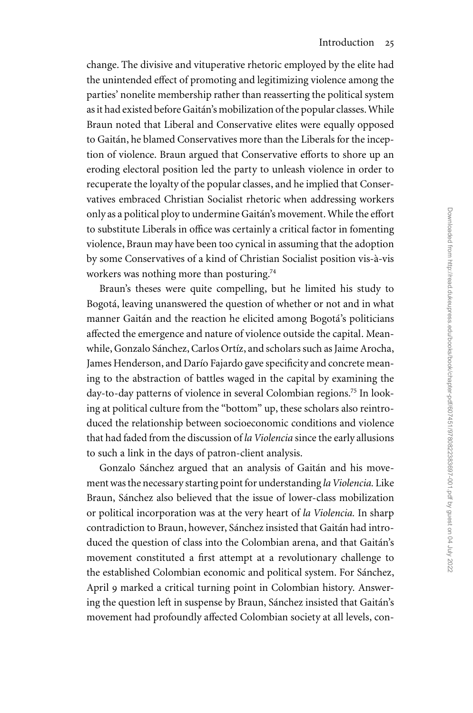change. The divisive and vituperative rhetoric employed by the elite had the unintended effect of promoting and legitimizing violence among the parties' nonelite membership rather than reasserting the political system as it had existed before Gaitán's mobilization of the popular classes.While Braun noted that Liberal and Conservative elites were equally opposed to Gaitán, he blamed Conservatives more than the Liberals for the inception of violence. Braun argued that Conservative efforts to shore up an eroding electoral position led the party to unleash violence in order to recuperate the loyalty of the popular classes, and he implied that Conservatives embraced Christian Socialist rhetoric when addressing workers only as a political ploy to undermine Gaitán's movement.While the effort to substitute Liberals in office was certainly a critical factor in fomenting violence, Braun may have been too cynical in assuming that the adoption by some Conservatives of a kind of Christian Socialist position vis-à-vis workers was nothing more than posturing.<sup>74</sup>

Braun's theses were quite compelling, but he limited his study to Bogotá, leaving unanswered the question of whether or not and in what manner Gaitán and the reaction he elicited among Bogotá's politicians affected the emergence and nature of violence outside the capital. Meanwhile, Gonzalo Sánchez, Carlos Ortíz, and scholars such as Jaime Arocha, James Henderson, and Darío Fajardo gave specificity and concrete meaning to the abstraction of battles waged in the capital by examining the day-to-day patterns of violence in several Colombian regions.<sup>75</sup> In looking at political culture from the ''bottom'' up, these scholars also reintroduced the relationship between socioeconomic conditions and violence that had faded from the discussion of la Violencia since the early allusions to such a link in the days of patron-client analysis.

Gonzalo Sánchez argued that an analysis of Gaitán and his movement was the necessary starting point for understanding la Violencia. Like Braun, Sánchez also believed that the issue of lower-class mobilization or political incorporation was at the very heart of la Violencia. In sharp contradiction to Braun, however, Sánchez insisted that Gaitán had introduced the question of class into the Colombian arena, and that Gaitán's movement constituted a first attempt at a revolutionary challenge to the established Colombian economic and political system. For Sánchez, April 9 marked a critical turning point in Colombian history. Answering the question left in suspense by Braun, Sánchez insisted that Gaitán's movement had profoundly affected Colombian society at all levels, con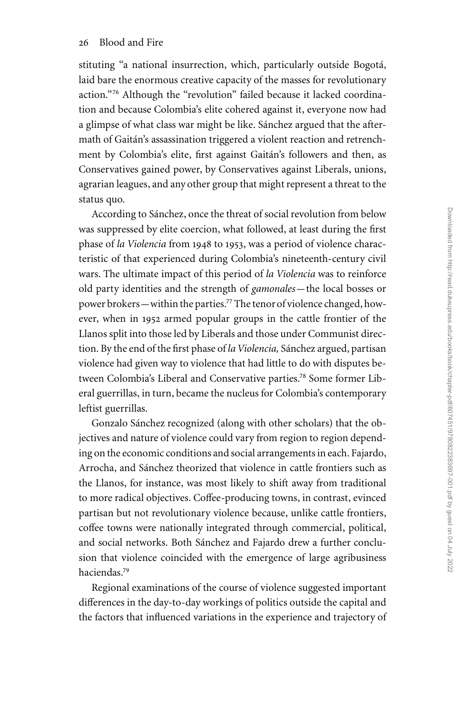stituting ''a national insurrection, which, particularly outside Bogotá, laid bare the enormous creative capacity of the masses for revolutionary action."76 Although the "revolution" failed because it lacked coordination and because Colombia's elite cohered against it, everyone now had a glimpse of what class war might be like. Sánchez argued that the aftermath of Gaitán's assassination triggered a violent reaction and retrenchment by Colombia's elite, first against Gaitán's followers and then, as Conservatives gained power, by Conservatives against Liberals, unions, agrarian leagues, and any other group that might represent a threat to the status quo.

According to Sánchez, once the threat of social revolution from below was suppressed by elite coercion, what followed, at least during the first phase of la Violencia from 1948 to 1953, was a period of violence characteristic of that experienced during Colombia's nineteenth-century civil wars. The ultimate impact of this period of la Violencia was to reinforce old party identities and the strength of gamonales—the local bosses or power brokers—within the parties.<sup>77</sup> The tenor of violence changed, however, when in 1952 armed popular groups in the cattle frontier of the Llanos split into those led by Liberals and those under Communist direction. By the end of the first phase of la Violencia, Sánchez argued, partisan violence had given way to violence that had little to do with disputes between Colombia's Liberal and Conservative parties.<sup>78</sup> Some former Liberal guerrillas, in turn, became the nucleus for Colombia's contemporary leftist guerrillas.

Gonzalo Sánchez recognized (along with other scholars) that the objectives and nature of violence could vary from region to region depending on the economic conditions and social arrangements in each. Fajardo, Arrocha, and Sánchez theorized that violence in cattle frontiers such as the Llanos, for instance, was most likely to shift away from traditional to more radical objectives. Coffee-producing towns, in contrast, evinced partisan but not revolutionary violence because, unlike cattle frontiers, coffee towns were nationally integrated through commercial, political, and social networks. Both Sánchez and Fajardo drew a further conclusion that violence coincided with the emergence of large agribusiness haciendas.<sup>79</sup>

Regional examinations of the course of violence suggested important differences in the day-to-day workings of politics outside the capital and the factors that influenced variations in the experience and trajectory of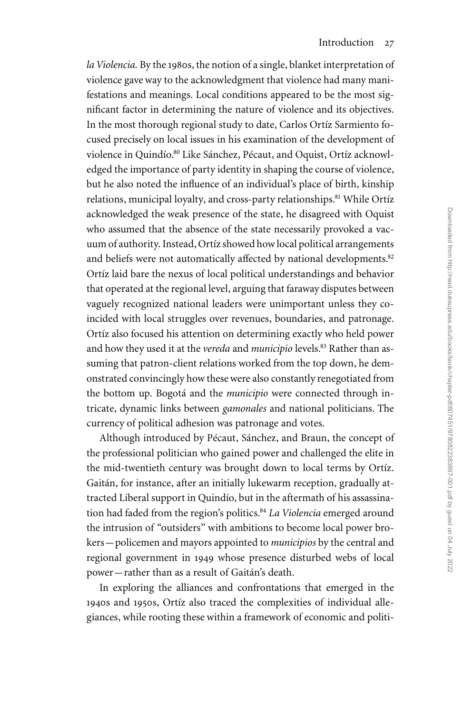la Violencia. By the 1980s, the notion of a single, blanket interpretation of violence gave way to the acknowledgment that violence had many manifestations and meanings. Local conditions appeared to be the most significant factor in determining the nature of violence and its objectives. In the most thorough regional study to date, Carlos Ortíz Sarmiento focused precisely on local issues in his examination of the development of violence in Quindío.<sup>80</sup> Like Sánchez, Pécaut, and Oquist, Ortíz acknowledged the importance of party identity in shaping the course of violence, but he also noted the influence of an individual's place of birth, kinship relations, municipal loyalty, and cross-party relationships.<sup>81</sup> While Ortíz acknowledged the weak presence of the state, he disagreed with Oquist who assumed that the absence of the state necessarily provoked a vacuum of authority. Instead, Ortíz showed how local political arrangements and beliefs were not automatically affected by national developments.<sup>82</sup> Ortíz laid bare the nexus of local political understandings and behavior that operated at the regional level, arguing that faraway disputes between vaguely recognized national leaders were unimportant unless they coincided with local struggles over revenues, boundaries, and patronage. Ortíz also focused his attention on determining exactly who held power and how they used it at the vereda and municipio levels.<sup>83</sup> Rather than assuming that patron-client relations worked from the top down, he demonstrated convincingly how these were also constantly renegotiated from the bottom up. Bogotá and the *municipio* were connected through intricate, dynamic links between gamonales and national politicians. The currency of political adhesion was patronage and votes.

Although introduced by Pécaut, Sánchez, and Braun, the concept of the professional politician who gained power and challenged the elite in the mid-twentieth century was brought down to local terms by Ortíz. Gaitán, for instance, after an initially lukewarm reception, gradually attracted Liberal support in Quindío, but in the aftermath of his assassination had faded from the region's politics.<sup>84</sup> La Violencia emerged around the intrusion of "outsiders" with ambitions to become local power brokers-policemen and mayors appointed to *municipios* by the central and regional government in 1949 whose presence disturbed webs of local power—rather than as a result of Gaitán's death.

In exploring the alliances and confrontations that emerged in the 1940s and 1950s, Ortíz also traced the complexities of individual allegiances, while rooting these within a framework of economic and politi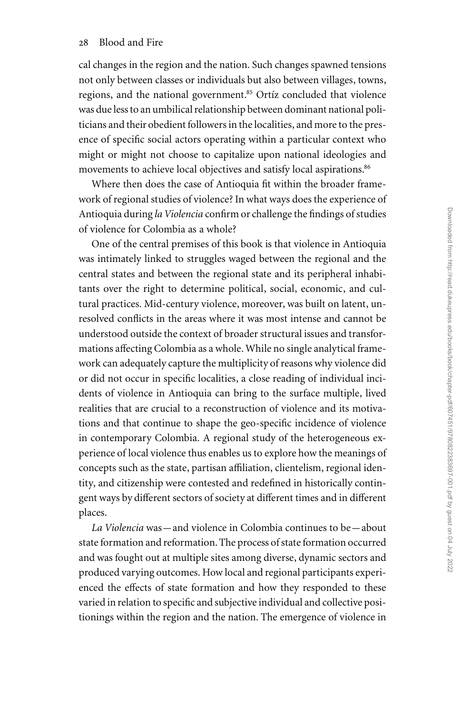cal changes in the region and the nation. Such changes spawned tensions not only between classes or individuals but also between villages, towns, regions, and the national government.<sup>85</sup> Ortíz concluded that violence was due less to an umbilical relationship between dominant national politicians and their obedient followers in the localities, and more to the presence of specific social actors operating within a particular context who might or might not choose to capitalize upon national ideologies and movements to achieve local objectives and satisfy local aspirations.<sup>86</sup>

Where then does the case of Antioquia fit within the broader framework of regional studies of violence? In what ways does the experience of Antioquia during la Violencia confirm or challenge the findings of studies of violence for Colombia as a whole?

One of the central premises of this book is that violence in Antioquia was intimately linked to struggles waged between the regional and the central states and between the regional state and its peripheral inhabitants over the right to determine political, social, economic, and cultural practices. Mid-century violence, moreover, was built on latent, unresolved conflicts in the areas where it was most intense and cannot be understood outside the context of broader structural issues and transformations affecting Colombia as a whole.While no single analytical framework can adequately capture the multiplicity of reasons why violence did or did not occur in specific localities, a close reading of individual incidents of violence in Antioquia can bring to the surface multiple, lived realities that are crucial to a reconstruction of violence and its motivations and that continue to shape the geo-specific incidence of violence in contemporary Colombia. A regional study of the heterogeneous experience of local violence thus enables us to explore how the meanings of concepts such as the state, partisan affiliation, clientelism, regional identity, and citizenship were contested and redefined in historically contingent ways by different sectors of society at different times and in different places.

La Violencia was—and violence in Colombia continues to be—about state formation and reformation. The process of state formation occurred and was fought out at multiple sites among diverse, dynamic sectors and produced varying outcomes. How local and regional participants experienced the effects of state formation and how they responded to these varied in relation to specific and subjective individual and collective positionings within the region and the nation. The emergence of violence in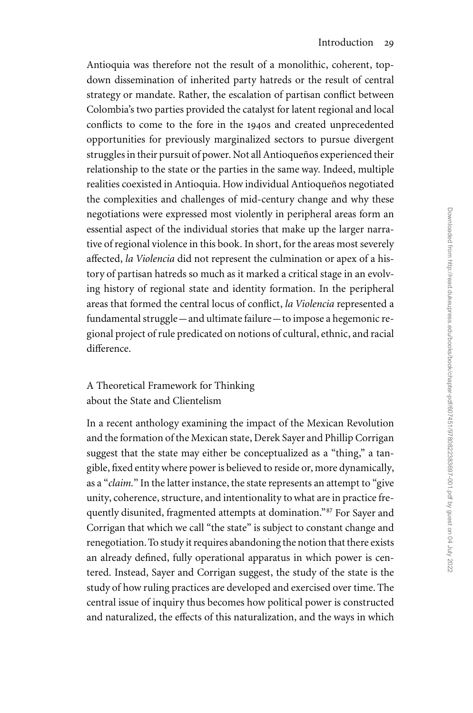Antioquia was therefore not the result of a monolithic, coherent, topdown dissemination of inherited party hatreds or the result of central strategy or mandate. Rather, the escalation of partisan conflict between Colombia's two parties provided the catalyst for latent regional and local conflicts to come to the fore in the 1940s and created unprecedented opportunities for previously marginalized sectors to pursue divergent struggles in their pursuit of power. Not all Antioqueños experienced their relationship to the state or the parties in the same way. Indeed, multiple realities coexisted in Antioquia. How individual Antioqueños negotiated the complexities and challenges of mid-century change and why these negotiations were expressed most violently in peripheral areas form an essential aspect of the individual stories that make up the larger narrative of regional violence in this book. In short, for the areas most severely affected, la Violencia did not represent the culmination or apex of a history of partisan hatreds so much as it marked a critical stage in an evolving history of regional state and identity formation. In the peripheral areas that formed the central locus of conflict, la Violencia represented a fundamental struggle—and ultimate failure—to impose a hegemonic regional project of rule predicated on notions of cultural, ethnic, and racial difference.

# A Theoretical Framework for Thinking about the State and Clientelism

In a recent anthology examining the impact of the Mexican Revolution and the formation of the Mexican state, Derek Sayer and Phillip Corrigan suggest that the state may either be conceptualized as a "thing," a tangible, fixed entity where power is believed to reside or, more dynamically, as a "claim." In the latter instance, the state represents an attempt to "give unity, coherence, structure, and intentionality to what are in practice frequently disunited, fragmented attempts at domination."<sup>87</sup> For Sayer and Corrigan that which we call ''the state'' is subject to constant change and renegotiation. To study it requires abandoning the notion that there exists an already defined, fully operational apparatus in which power is centered. Instead, Sayer and Corrigan suggest, the study of the state is the study of how ruling practices are developed and exercised over time. The central issue of inquiry thus becomes how political power is constructed and naturalized, the effects of this naturalization, and the ways in which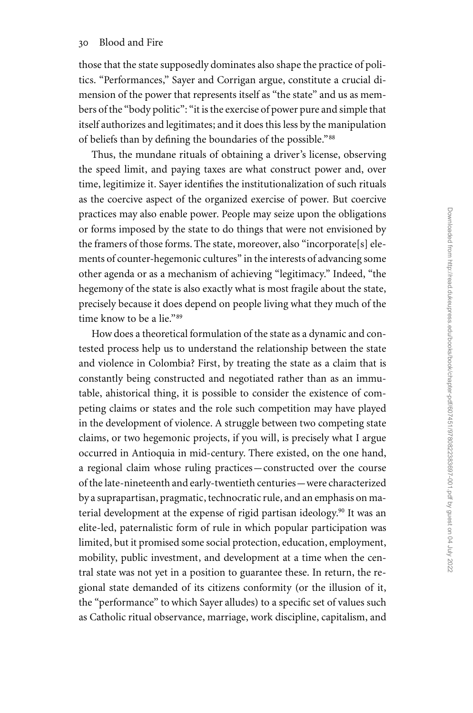those that the state supposedly dominates also shape the practice of politics. ''Performances,'' Sayer and Corrigan argue, constitute a crucial dimension of the power that represents itself as "the state" and us as members of the "body politic": "it is the exercise of power pure and simple that itself authorizes and legitimates; and it does this less by the manipulation of beliefs than by defining the boundaries of the possible.''<sup>88</sup>

Thus, the mundane rituals of obtaining a driver's license, observing the speed limit, and paying taxes are what construct power and, over time, legitimize it. Sayer identifies the institutionalization of such rituals as the coercive aspect of the organized exercise of power. But coercive practices may also enable power. People may seize upon the obligations or forms imposed by the state to do things that were not envisioned by the framers of those forms. The state, moreover, also ''incorporate[s] elements of counter-hegemonic cultures'' in the interests of advancing some other agenda or as a mechanism of achieving ''legitimacy.'' Indeed, ''the hegemony of the state is also exactly what is most fragile about the state, precisely because it does depend on people living what they much of the time know to be a lie."<sup>89</sup>

How does a theoretical formulation of the state as a dynamic and contested process help us to understand the relationship between the state and violence in Colombia? First, by treating the state as a claim that is constantly being constructed and negotiated rather than as an immutable, ahistorical thing, it is possible to consider the existence of competing claims or states and the role such competition may have played in the development of violence. A struggle between two competing state claims, or two hegemonic projects, if you will, is precisely what I argue occurred in Antioquia in mid-century. There existed, on the one hand, a regional claim whose ruling practices—constructed over the course of the late-nineteenth and early-twentieth centuries—were characterized by a suprapartisan, pragmatic, technocratic rule, and an emphasis on material development at the expense of rigid partisan ideology.<sup>90</sup> It was an elite-led, paternalistic form of rule in which popular participation was limited, but it promised some social protection, education, employment, mobility, public investment, and development at a time when the central state was not yet in a position to guarantee these. In return, the regional state demanded of its citizens conformity (or the illusion of it, the ''performance'' to which Sayer alludes) to a specific set of values such as Catholic ritual observance, marriage, work discipline, capitalism, and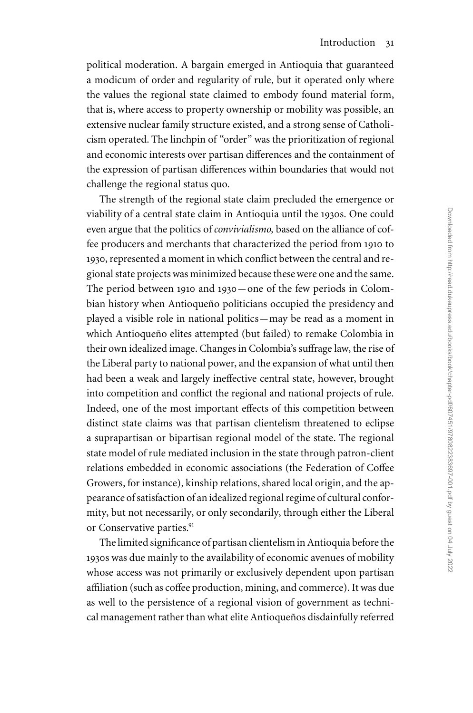political moderation. A bargain emerged in Antioquia that guaranteed a modicum of order and regularity of rule, but it operated only where the values the regional state claimed to embody found material form, that is, where access to property ownership or mobility was possible, an extensive nuclear family structure existed, and a strong sense of Catholicism operated. The linchpin of ''order'' was the prioritization of regional and economic interests over partisan differences and the containment of the expression of partisan differences within boundaries that would not challenge the regional status quo.

The strength of the regional state claim precluded the emergence or viability of a central state claim in Antioquia until the 1930s. One could even argue that the politics of *convivialismo*, based on the alliance of coffee producers and merchants that characterized the period from 1910 to 1930, represented a moment in which conflict between the central and regional state projects was minimized because these were one and the same. The period between 1910 and 1930 — one of the few periods in Colombian history when Antioqueño politicians occupied the presidency and played a visible role in national politics—may be read as a moment in which Antioqueño elites attempted (but failed) to remake Colombia in their own idealized image. Changes in Colombia's suffrage law, the rise of the Liberal party to national power, and the expansion of what until then had been a weak and largely ineffective central state, however, brought into competition and conflict the regional and national projects of rule. Indeed, one of the most important effects of this competition between distinct state claims was that partisan clientelism threatened to eclipse a suprapartisan or bipartisan regional model of the state. The regional state model of rule mediated inclusion in the state through patron-client relations embedded in economic associations (the Federation of Coffee Growers, for instance), kinship relations, shared local origin, and the appearance of satisfaction of an idealized regional regime of cultural conformity, but not necessarily, or only secondarily, through either the Liberal or Conservative parties.<sup>91</sup>

The limited significance of partisan clientelism in Antioquia before the 1930s was due mainly to the availability of economic avenues of mobility whose access was not primarily or exclusively dependent upon partisan affiliation (such as coffee production, mining, and commerce). It was due as well to the persistence of a regional vision of government as technical management rather than what elite Antioqueños disdainfully referred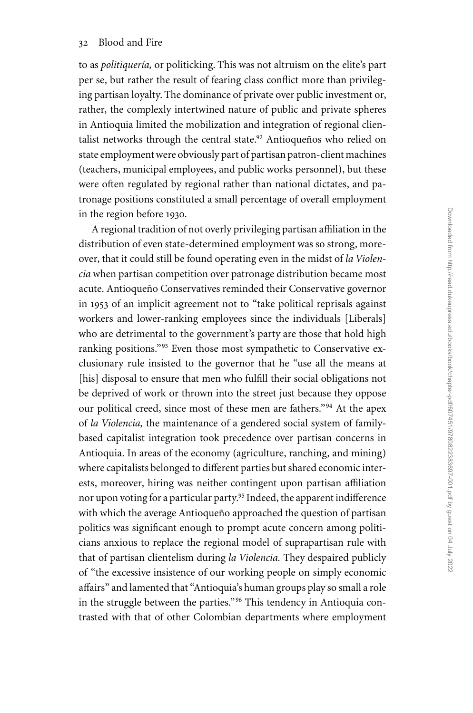to as politiquería, or politicking. This was not altruism on the elite's part per se, but rather the result of fearing class conflict more than privileging partisan loyalty. The dominance of private over public investment or, rather, the complexly intertwined nature of public and private spheres in Antioquia limited the mobilization and integration of regional clientalist networks through the central state.<sup>92</sup> Antioqueños who relied on state employment were obviously part of partisan patron-client machines (teachers, municipal employees, and public works personnel), but these were often regulated by regional rather than national dictates, and patronage positions constituted a small percentage of overall employment in the region before 1930.

A regional tradition of not overly privileging partisan affiliation in the distribution of even state-determined employment was so strong, moreover, that it could still be found operating even in the midst of la Violencia when partisan competition over patronage distribution became most acute. Antioqueño Conservatives reminded their Conservative governor in 1953 of an implicit agreement not to "take political reprisals against workers and lower-ranking employees since the individuals [Liberals] who are detrimental to the government's party are those that hold high ranking positions."<sup>93</sup> Even those most sympathetic to Conservative exclusionary rule insisted to the governor that he ''use all the means at [his] disposal to ensure that men who fulfill their social obligations not be deprived of work or thrown into the street just because they oppose our political creed, since most of these men are fathers."<sup>94</sup> At the apex of la Violencia, the maintenance of a gendered social system of familybased capitalist integration took precedence over partisan concerns in Antioquia. In areas of the economy (agriculture, ranching, and mining) where capitalists belonged to different parties but shared economic interests, moreover, hiring was neither contingent upon partisan affiliation nor upon voting for a particular party.<sup>95</sup> Indeed, the apparent indifference with which the average Antioqueño approached the question of partisan politics was significant enough to prompt acute concern among politicians anxious to replace the regional model of suprapartisan rule with that of partisan clientelism during la Violencia. They despaired publicly of ''the excessive insistence of our working people on simply economic affairs'' and lamented that ''Antioquia's human groups play so small a role in the struggle between the parties."<sup>96</sup> This tendency in Antioquia contrasted with that of other Colombian departments where employment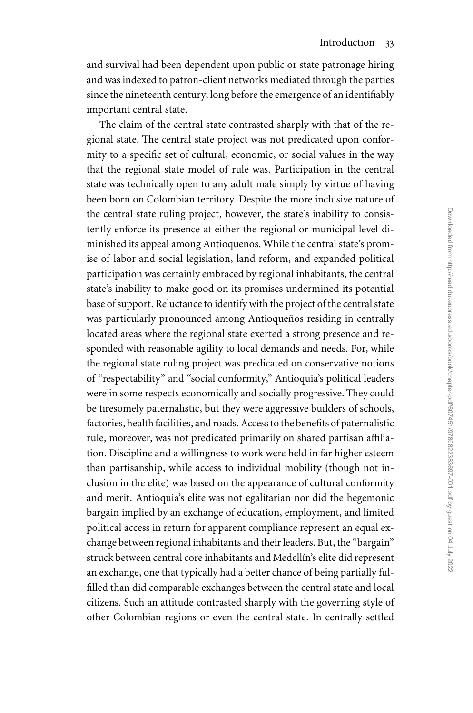and survival had been dependent upon public or state patronage hiring and was indexed to patron-client networks mediated through the parties since the nineteenth century, long before the emergence of an identifiably important central state.

The claim of the central state contrasted sharply with that of the regional state. The central state project was not predicated upon conformity to a specific set of cultural, economic, or social values in the way that the regional state model of rule was. Participation in the central state was technically open to any adult male simply by virtue of having been born on Colombian territory. Despite the more inclusive nature of the central state ruling project, however, the state's inability to consistently enforce its presence at either the regional or municipal level diminished its appeal among Antioqueños. While the central state's promise of labor and social legislation, land reform, and expanded political participation was certainly embraced by regional inhabitants, the central state's inability to make good on its promises undermined its potential base of support. Reluctance to identify with the project of the central state was particularly pronounced among Antioqueños residing in centrally located areas where the regional state exerted a strong presence and responded with reasonable agility to local demands and needs. For, while the regional state ruling project was predicated on conservative notions of ''respectability'' and ''social conformity,'' Antioquia's political leaders were in some respects economically and socially progressive. They could be tiresomely paternalistic, but they were aggressive builders of schools, factories, health facilities, and roads. Access to the benefits of paternalistic rule, moreover, was not predicated primarily on shared partisan affiliation. Discipline and a willingness to work were held in far higher esteem than partisanship, while access to individual mobility (though not inclusion in the elite) was based on the appearance of cultural conformity and merit. Antioquia's elite was not egalitarian nor did the hegemonic bargain implied by an exchange of education, employment, and limited political access in return for apparent compliance represent an equal exchange between regional inhabitants and their leaders. But, the ''bargain'' struck between central core inhabitants and Medellín's elite did represent an exchange, one that typically had a better chance of being partially fulfilled than did comparable exchanges between the central state and local citizens. Such an attitude contrasted sharply with the governing style of other Colombian regions or even the central state. In centrally settled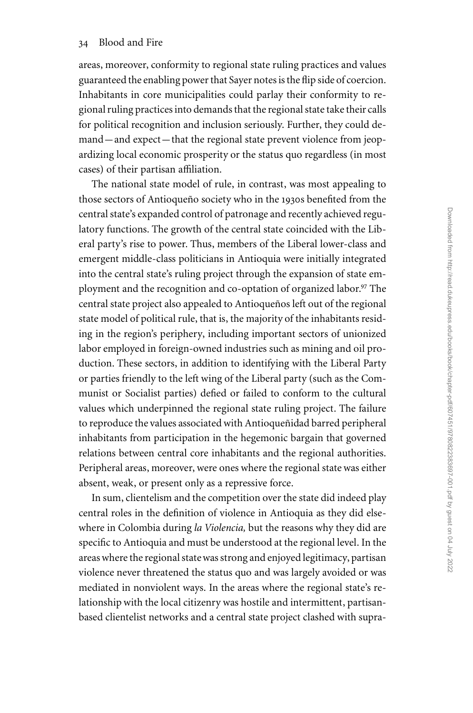areas, moreover, conformity to regional state ruling practices and values guaranteed the enabling power that Sayer notes is the flip side of coercion. Inhabitants in core municipalities could parlay their conformity to regional ruling practices into demands that the regional state take their calls for political recognition and inclusion seriously. Further, they could demand—and expect—that the regional state prevent violence from jeopardizing local economic prosperity or the status quo regardless (in most cases) of their partisan affiliation.

The national state model of rule, in contrast, was most appealing to those sectors of Antioqueño society who in the 1930s benefited from the central state's expanded control of patronage and recently achieved regulatory functions. The growth of the central state coincided with the Liberal party's rise to power. Thus, members of the Liberal lower-class and emergent middle-class politicians in Antioquia were initially integrated into the central state's ruling project through the expansion of state employment and the recognition and co-optation of organized labor.<sup>97</sup> The central state project also appealed to Antioqueños left out of the regional state model of political rule, that is, the majority of the inhabitants residing in the region's periphery, including important sectors of unionized labor employed in foreign-owned industries such as mining and oil production. These sectors, in addition to identifying with the Liberal Party or parties friendly to the left wing of the Liberal party (such as the Communist or Socialist parties) defied or failed to conform to the cultural values which underpinned the regional state ruling project. The failure to reproduce the values associated with Antioqueñidad barred peripheral inhabitants from participation in the hegemonic bargain that governed relations between central core inhabitants and the regional authorities. Peripheral areas, moreover, were ones where the regional state was either absent, weak, or present only as a repressive force.

In sum, clientelism and the competition over the state did indeed play central roles in the definition of violence in Antioquia as they did elsewhere in Colombia during la Violencia, but the reasons why they did are specific to Antioquia and must be understood at the regional level. In the areas where the regional statewas strong and enjoyed legitimacy, partisan violence never threatened the status quo and was largely avoided or was mediated in nonviolent ways. In the areas where the regional state's relationship with the local citizenry was hostile and intermittent, partisanbased clientelist networks and a central state project clashed with supra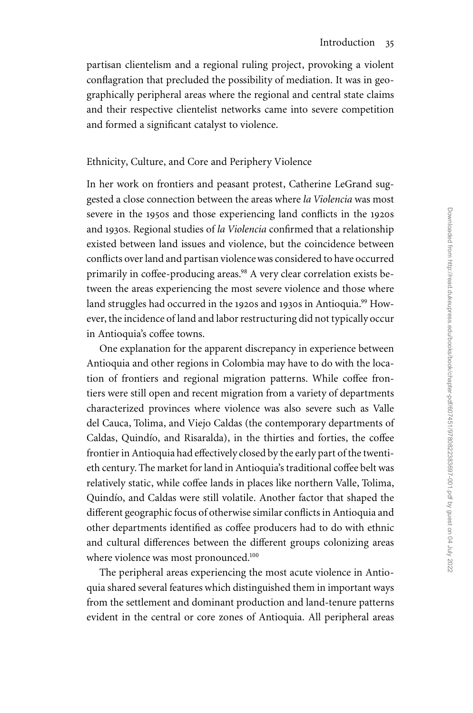partisan clientelism and a regional ruling project, provoking a violent conflagration that precluded the possibility of mediation. It was in geographically peripheral areas where the regional and central state claims and their respective clientelist networks came into severe competition and formed a significant catalyst to violence.

## Ethnicity, Culture, and Core and Periphery Violence

In her work on frontiers and peasant protest, Catherine LeGrand suggested a close connection between the areas where la Violencia was most severe in the 1950s and those experiencing land conflicts in the 1920s and 1930s. Regional studies of la Violencia confirmed that a relationship existed between land issues and violence, but the coincidence between conflicts over land and partisan violence was considered to have occurred primarily in coffee-producing areas.<sup>98</sup> A very clear correlation exists between the areas experiencing the most severe violence and those where land struggles had occurred in the 1920s and 1930s in Antioquia.<sup>99</sup> However, the incidence of land and labor restructuring did not typically occur in Antioquia's coffee towns.

One explanation for the apparent discrepancy in experience between Antioquia and other regions in Colombia may have to do with the location of frontiers and regional migration patterns. While coffee frontiers were still open and recent migration from a variety of departments characterized provinces where violence was also severe such as Valle del Cauca, Tolima, and Viejo Caldas (the contemporary departments of Caldas, Quindío, and Risaralda), in the thirties and forties, the coffee frontier in Antioquia had effectively closed by the early part of the twentieth century. The market for land in Antioquia's traditional coffee belt was relatively static, while coffee lands in places like northern Valle, Tolima, Quindío, and Caldas were still volatile. Another factor that shaped the different geographic focus of otherwise similar conflicts in Antioquia and other departments identified as coffee producers had to do with ethnic and cultural differences between the different groups colonizing areas where violence was most pronounced.<sup>100</sup>

The peripheral areas experiencing the most acute violence in Antioquia shared several features which distinguished them in important ways from the settlement and dominant production and land-tenure patterns evident in the central or core zones of Antioquia. All peripheral areas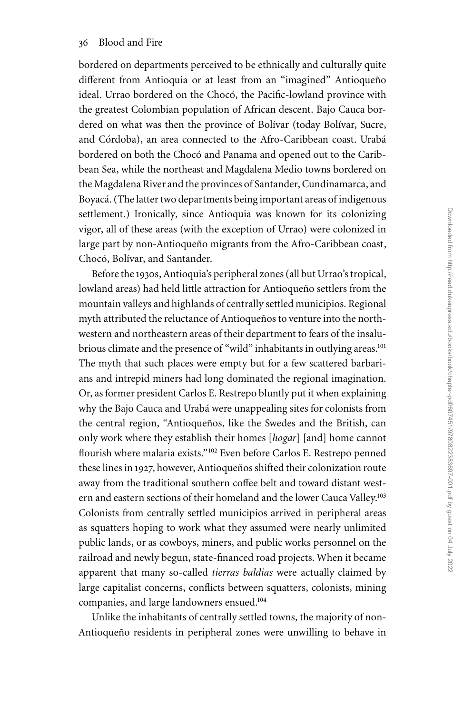bordered on departments perceived to be ethnically and culturally quite different from Antioquia or at least from an ''imagined'' Antioqueño ideal. Urrao bordered on the Chocó, the Pacific-lowland province with the greatest Colombian population of African descent. Bajo Cauca bordered on what was then the province of Bolívar (today Bolívar, Sucre, and Córdoba), an area connected to the Afro-Caribbean coast. Urabá bordered on both the Chocó and Panama and opened out to the Caribbean Sea, while the northeast and Magdalena Medio towns bordered on the Magdalena River and the provinces of Santander, Cundinamarca, and Boyacá. (The latter two departments being important areas of indigenous settlement.) Ironically, since Antioquia was known for its colonizing vigor, all of these areas (with the exception of Urrao) were colonized in large part by non-Antioqueño migrants from the Afro-Caribbean coast, Chocó, Bolívar, and Santander.

Before the 1930s, Antioquia's peripheral zones (all but Urrao's tropical, lowland areas) had held little attraction for Antioqueño settlers from the mountain valleys and highlands of centrally settled municipios. Regional myth attributed the reluctance of Antioqueños to venture into the northwestern and northeastern areas of their department to fears of the insalubrious climate and the presence of "wild" inhabitants in outlying areas.<sup>101</sup> The myth that such places were empty but for a few scattered barbarians and intrepid miners had long dominated the regional imagination. Or, as former president Carlos E. Restrepo bluntly put it when explaining why the Bajo Cauca and Urabá were unappealing sites for colonists from the central region, ''Antioqueños, like the Swedes and the British, can only work where they establish their homes [hogar] [and] home cannot flourish where malaria exists."<sup>102</sup> Even before Carlos E. Restrepo penned these lines in 1927, however, Antioqueños shifted their colonization route away from the traditional southern coffee belt and toward distant western and eastern sections of their homeland and the lower Cauca Valley.<sup>103</sup> Colonists from centrally settled municipios arrived in peripheral areas as squatters hoping to work what they assumed were nearly unlimited public lands, or as cowboys, miners, and public works personnel on the railroad and newly begun, state-financed road projects. When it became apparent that many so-called tierras baldias were actually claimed by large capitalist concerns, conflicts between squatters, colonists, mining companies, and large landowners ensued.<sup>104</sup>

Unlike the inhabitants of centrally settled towns, the majority of non-Antioqueño residents in peripheral zones were unwilling to behave in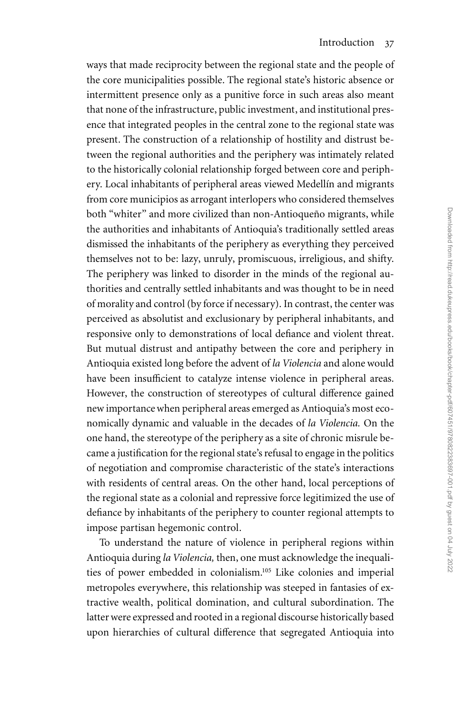ways that made reciprocity between the regional state and the people of the core municipalities possible. The regional state's historic absence or intermittent presence only as a punitive force in such areas also meant that none of the infrastructure, public investment, and institutional presence that integrated peoples in the central zone to the regional state was present. The construction of a relationship of hostility and distrust between the regional authorities and the periphery was intimately related to the historically colonial relationship forged between core and periphery. Local inhabitants of peripheral areas viewed Medellín and migrants from core municipios as arrogant interlopers who considered themselves both ''whiter'' and more civilized than non-Antioqueño migrants, while the authorities and inhabitants of Antioquia's traditionally settled areas dismissed the inhabitants of the periphery as everything they perceived themselves not to be: lazy, unruly, promiscuous, irreligious, and shifty. The periphery was linked to disorder in the minds of the regional authorities and centrally settled inhabitants and was thought to be in need of morality and control (by force if necessary). In contrast, the center was perceived as absolutist and exclusionary by peripheral inhabitants, and responsive only to demonstrations of local defiance and violent threat. But mutual distrust and antipathy between the core and periphery in Antioquia existed long before the advent of la Violencia and alone would have been insufficient to catalyze intense violence in peripheral areas. However, the construction of stereotypes of cultural difference gained new importance when peripheral areas emerged as Antioquia's most economically dynamic and valuable in the decades of la Violencia. On the one hand, the stereotype of the periphery as a site of chronic misrule became a justification for the regional state's refusal to engage in the politics of negotiation and compromise characteristic of the state's interactions with residents of central areas. On the other hand, local perceptions of the regional state as a colonial and repressive force legitimized the use of defiance by inhabitants of the periphery to counter regional attempts to impose partisan hegemonic control.

To understand the nature of violence in peripheral regions within Antioquia during la Violencia, then, one must acknowledge the inequalities of power embedded in colonialism.<sup>105</sup> Like colonies and imperial metropoles everywhere, this relationship was steeped in fantasies of extractive wealth, political domination, and cultural subordination. The latter were expressed and rooted in a regional discourse historically based upon hierarchies of cultural difference that segregated Antioquia into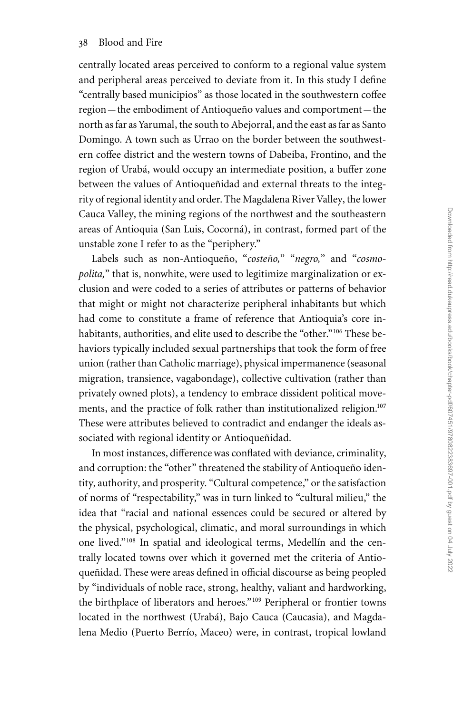centrally located areas perceived to conform to a regional value system and peripheral areas perceived to deviate from it. In this study I define ''centrally based municipios'' as those located in the southwestern coffee region—the embodiment of Antioqueño values and comportment—the north as far as Yarumal, the south to Abejorral, and the east as far as Santo Domingo. A town such as Urrao on the border between the southwestern coffee district and the western towns of Dabeiba, Frontino, and the region of Urabá, would occupy an intermediate position, a buffer zone between the values of Antioqueñidad and external threats to the integrity of regional identity and order. The Magdalena River Valley, the lower Cauca Valley, the mining regions of the northwest and the southeastern areas of Antioquia (San Luis, Cocorná), in contrast, formed part of the unstable zone I refer to as the ''periphery.''

Labels such as non-Antioqueño, "costeño," "negro," and "cosmopolita," that is, nonwhite, were used to legitimize marginalization or exclusion and were coded to a series of attributes or patterns of behavior that might or might not characterize peripheral inhabitants but which had come to constitute a frame of reference that Antioquia's core inhabitants, authorities, and elite used to describe the "other."<sup>106</sup> These behaviors typically included sexual partnerships that took the form of free union (rather than Catholic marriage), physical impermanence (seasonal migration, transience, vagabondage), collective cultivation (rather than privately owned plots), a tendency to embrace dissident political movements, and the practice of folk rather than institutionalized religion.<sup>107</sup> These were attributes believed to contradict and endanger the ideals associated with regional identity or Antioqueñidad.

In most instances, difference was conflated with deviance, criminality, and corruption: the "other" threatened the stability of Antioqueño identity, authority, and prosperity. "Cultural competence," or the satisfaction of norms of "respectability," was in turn linked to "cultural milieu," the idea that "racial and national essences could be secured or altered by the physical, psychological, climatic, and moral surroundings in which one lived.''<sup>108</sup> In spatial and ideological terms, Medellín and the centrally located towns over which it governed met the criteria of Antioqueñidad. These were areas defined in official discourse as being peopled by ''individuals of noble race, strong, healthy, valiant and hardworking, the birthplace of liberators and heroes."<sup>109</sup> Peripheral or frontier towns located in the northwest (Urabá), Bajo Cauca (Caucasia), and Magdalena Medio (Puerto Berrío, Maceo) were, in contrast, tropical lowland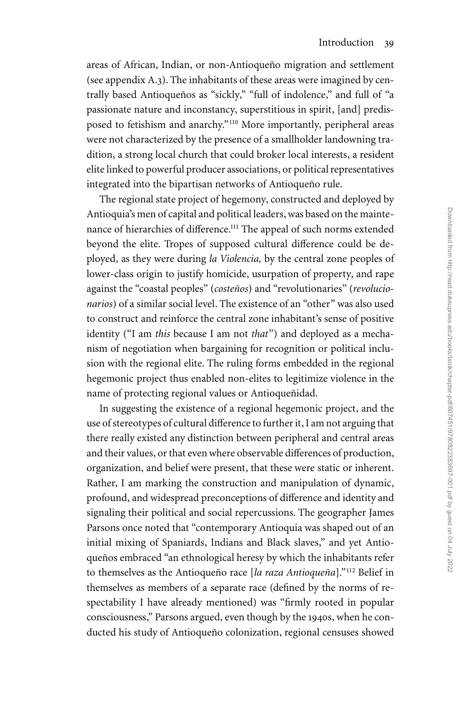areas of African, Indian, or non-Antioqueño migration and settlement (see appendix A.). The inhabitants of these areas were imagined by centrally based Antioqueños as "sickly," "full of indolence," and full of "a passionate nature and inconstancy, superstitious in spirit, [and] predisposed to fetishism and anarchy.''<sup>110</sup> More importantly, peripheral areas were not characterized by the presence of a smallholder landowning tradition, a strong local church that could broker local interests, a resident elite linked to powerful producer associations, or political representatives integrated into the bipartisan networks of Antioqueño rule.

The regional state project of hegemony, constructed and deployed by Antioquia's men of capital and political leaders, was based on the maintenance of hierarchies of difference.<sup>111</sup> The appeal of such norms extended beyond the elite. Tropes of supposed cultural difference could be deployed, as they were during la Violencia, by the central zone peoples of lower-class origin to justify homicide, usurpation of property, and rape against the "coastal peoples" (costeños) and "revolutionaries" (revolucionarios) of a similar social level. The existence of an "other" was also used to construct and reinforce the central zone inhabitant's sense of positive identity ("I am this because I am not that") and deployed as a mechanism of negotiation when bargaining for recognition or political inclusion with the regional elite. The ruling forms embedded in the regional hegemonic project thus enabled non-elites to legitimize violence in the name of protecting regional values or Antioqueñidad.

In suggesting the existence of a regional hegemonic project, and the use of stereotypes of cultural difference to further it, I am not arguing that there really existed any distinction between peripheral and central areas and their values, or that even where observable differences of production, organization, and belief were present, that these were static or inherent. Rather, I am marking the construction and manipulation of dynamic, profound, and widespread preconceptions of difference and identity and signaling their political and social repercussions. The geographer James Parsons once noted that ''contemporary Antioquia was shaped out of an initial mixing of Spaniards, Indians and Black slaves," and yet Antioqueños embraced ''an ethnological heresy by which the inhabitants refer to themselves as the Antioqueño race [la raza Antioqueña].''<sup>112</sup> Belief in themselves as members of a separate race (defined by the norms of respectability I have already mentioned) was ''firmly rooted in popular consciousness," Parsons argued, even though by the 1940s, when he conducted his study of Antioqueño colonization, regional censuses showed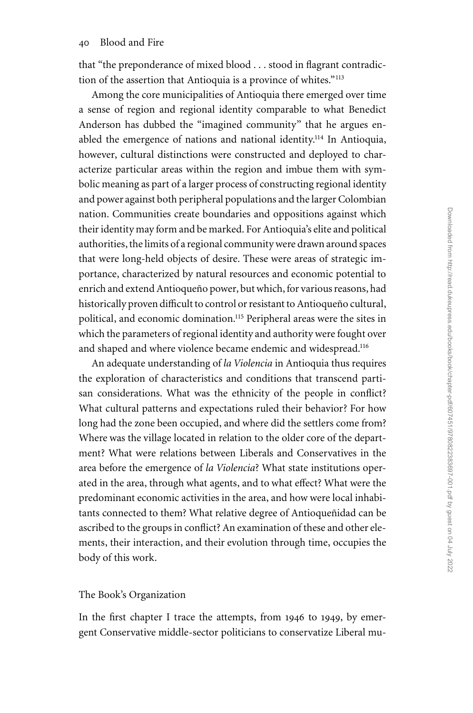that ''the preponderance of mixed blood . . . stood in flagrant contradiction of the assertion that Antioquia is a province of whites.''<sup>113</sup>

Among the core municipalities of Antioquia there emerged over time a sense of region and regional identity comparable to what Benedict Anderson has dubbed the ''imagined community'' that he argues enabled the emergence of nations and national identity.<sup>114</sup> In Antioquia, however, cultural distinctions were constructed and deployed to characterize particular areas within the region and imbue them with symbolic meaning as part of a larger process of constructing regional identity and power against both peripheral populations and the larger Colombian nation. Communities create boundaries and oppositions against which their identity may form and be marked. For Antioquia's elite and political authorities, the limits of a regional community were drawn around spaces that were long-held objects of desire. These were areas of strategic importance, characterized by natural resources and economic potential to enrich and extend Antioqueño power, but which, for various reasons, had historically proven difficult to control or resistant to Antioqueño cultural, political, and economic domination.<sup>115</sup> Peripheral areas were the sites in which the parameters of regional identity and authority were fought over and shaped and where violence became endemic and widespread.<sup>116</sup>

An adequate understanding of la Violencia in Antioquia thus requires the exploration of characteristics and conditions that transcend partisan considerations. What was the ethnicity of the people in conflict? What cultural patterns and expectations ruled their behavior? For how long had the zone been occupied, and where did the settlers come from? Where was the village located in relation to the older core of the department? What were relations between Liberals and Conservatives in the area before the emergence of la Violencia? What state institutions operated in the area, through what agents, and to what effect? What were the predominant economic activities in the area, and how were local inhabitants connected to them? What relative degree of Antioqueñidad can be ascribed to the groups in conflict? An examination of these and other elements, their interaction, and their evolution through time, occupies the body of this work.

#### The Book's Organization

In the first chapter I trace the attempts, from 1946 to 1949, by emergent Conservative middle-sector politicians to conservatize Liberal mu-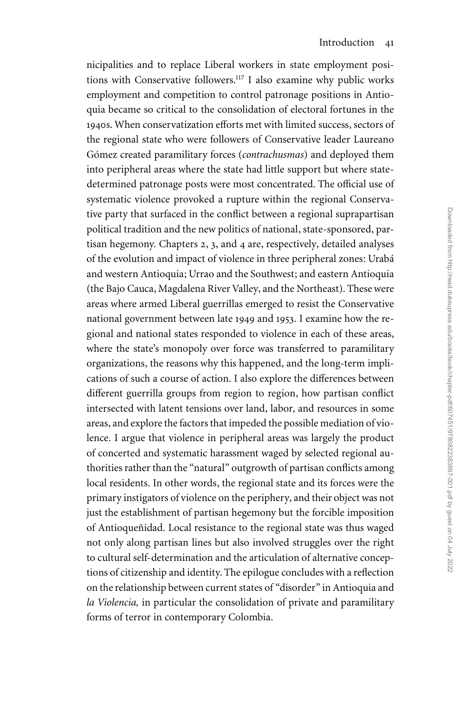nicipalities and to replace Liberal workers in state employment positions with Conservative followers.<sup>117</sup> I also examine why public works employment and competition to control patronage positions in Antioquia became so critical to the consolidation of electoral fortunes in the 1940s. When conservatization efforts met with limited success, sectors of the regional state who were followers of Conservative leader Laureano Gómez created paramilitary forces (contrachusmas) and deployed them into peripheral areas where the state had little support but where statedetermined patronage posts were most concentrated. The official use of systematic violence provoked a rupture within the regional Conservative party that surfaced in the conflict between a regional suprapartisan political tradition and the new politics of national, state-sponsored, partisan hegemony. Chapters 2, 3, and 4 are, respectively, detailed analyses of the evolution and impact of violence in three peripheral zones: Urabá and western Antioquia; Urrao and the Southwest; and eastern Antioquia (the Bajo Cauca, Magdalena River Valley, and the Northeast). These were areas where armed Liberal guerrillas emerged to resist the Conservative national government between late 1949 and 1953. I examine how the regional and national states responded to violence in each of these areas, where the state's monopoly over force was transferred to paramilitary organizations, the reasons why this happened, and the long-term implications of such a course of action. I also explore the differences between different guerrilla groups from region to region, how partisan conflict intersected with latent tensions over land, labor, and resources in some areas, and explore the factors that impeded the possible mediation of violence. I argue that violence in peripheral areas was largely the product of concerted and systematic harassment waged by selected regional authorities rather than the ''natural'' outgrowth of partisan conflicts among local residents. In other words, the regional state and its forces were the primary instigators of violence on the periphery, and their object was not just the establishment of partisan hegemony but the forcible imposition of Antioqueñidad. Local resistance to the regional state was thus waged not only along partisan lines but also involved struggles over the right to cultural self-determination and the articulation of alternative conceptions of citizenship and identity. The epilogue concludes with a reflection on the relationship between current states of ''disorder'' in Antioquia and la Violencia, in particular the consolidation of private and paramilitary forms of terror in contemporary Colombia.